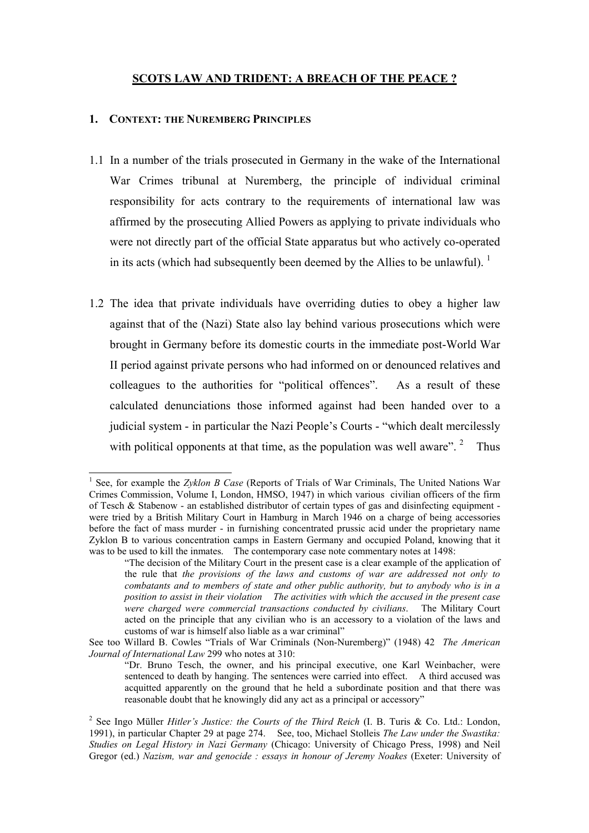# **SCOTS LAW AND TRIDENT: A BREACH OF THE PEACE ?**

## <span id="page-0-1"></span>**1. CONTEXT: THE NUREMBERG PRINCIPLES**

- 1.1 In a number of the trials prosecuted in Germany in the wake of the International War Crimes tribunal at Nuremberg, the principle of individual criminal responsibility for acts contrary to the requirements of international law was affirmed by the prosecuting Allied Powers as applying to private individuals who were not directly part of the official State apparatus but who actively co-operated in its acts (which had subsequently been deemed by the Allies to be unlawful).  $<sup>1</sup>$  $<sup>1</sup>$  $<sup>1</sup>$ </sup>
- 1.2 The idea that private individuals have overriding duties to obey a higher law against that of the (Nazi) State also lay behind various prosecutions which were brought in Germany before its domestic courts in the immediate post-World War II period against private persons who had informed on or denounced relatives and colleagues to the authorities for "political offences". As a result of these calculated denunciations those informed against had been handed over to a judicial system - in particular the Nazi People's Courts - "which dealt mercilessly with political opponents at that time, as the population was well aware". <sup>[2](#page-0-1)</sup> Thus

<span id="page-0-0"></span><sup>&</sup>lt;sup>1</sup> See, for example the *Zyklon B Case* (Reports of Trials of War Criminals, The United Nations War Crimes Commission, Volume I, London, HMSO, 1947) in which various civilian officers of the firm of Tesch & Stabenow - an established distributor of certain types of gas and disinfecting equipment were tried by a British Military Court in Hamburg in March 1946 on a charge of being accessories before the fact of mass murder - in furnishing concentrated prussic acid under the proprietary name Zyklon B to various concentration camps in Eastern Germany and occupied Poland, knowing that it was to be used to kill the inmates. The contemporary case note commentary notes at 1498:

<sup>&</sup>quot;The decision of the Military Court in the present case is a clear example of the application of the rule that *the provisions of the laws and customs of war are addressed not only to combatants and to members of state and other public authority, but to anybody who is in a position to assist in their violation The activities with which the accused in the present case were charged were commercial transactions conducted by civilians*. The Military Court acted on the principle that any civilian who is an accessory to a violation of the laws and customs of war is himself also liable as a war criminal"

See too Willard B. Cowles "Trials of War Criminals (Non-Nuremberg)" (1948) 42 *The American Journal of International Law* 299 who notes at 310:

<sup>&</sup>quot;Dr. Bruno Tesch, the owner, and his principal executive, one Karl Weinbacher, were sentenced to death by hanging. The sentences were carried into effect. A third accused was acquitted apparently on the ground that he held a subordinate position and that there was reasonable doubt that he knowingly did any act as a principal or accessory"

<sup>&</sup>lt;sup>2</sup> See Ingo Müller *Hitler's Justice: the Courts of the Third Reich* (I. B. Turis & Co. Ltd.: London, 1991), in particular Chapter 29 at page 274. See, too, Michael Stolleis *The Law under the Swastika: Studies on Legal History in Nazi Germany* (Chicago: University of Chicago Press, 1998) and Neil Gregor (ed.) *Nazism, war and genocide : essays in honour of Jeremy Noakes* (Exeter: University of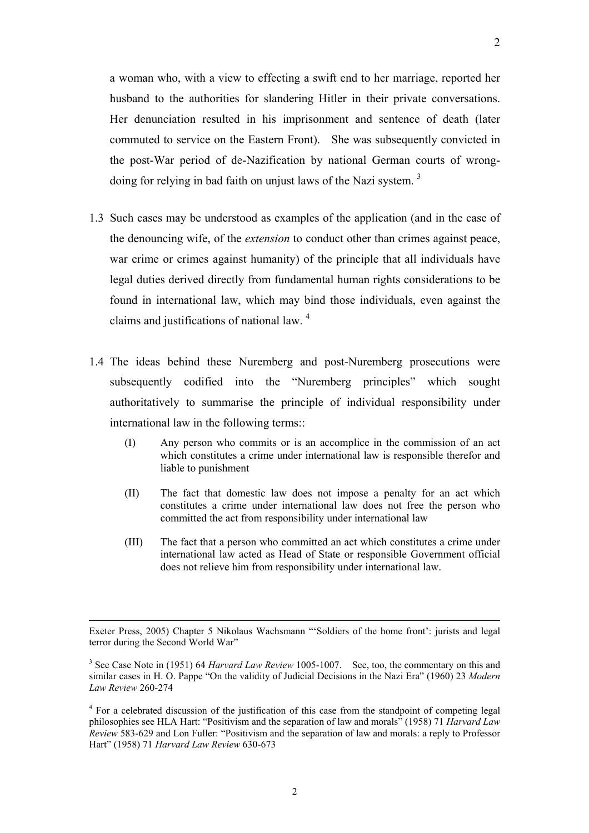a woman who, with a view to effecting a swift end to her marriage, reported her husband to the authorities for slandering Hitler in their private conversations. Her denunciation resulted in his imprisonment and sentence of death (later commuted to service on the Eastern Front). She was subsequently convicted in the post-War period of de-Nazification by national German courts of wrongdoing for relying in bad faith on unjust laws of the Nazi system.  $3$ 

- 1.3 Such cases may be understood as examples of the application (and in the case of the denouncing wife, of the *extension* to conduct other than crimes against peace, war crime or crimes against humanity) of the principle that all individuals have legal duties derived directly from fundamental human rights considerations to be found in international law, which may bind those individuals, even against the claims and justifications of national law.<sup>[4](#page-1-1)</sup>
- 1.4 The ideas behind these Nuremberg and post-Nuremberg prosecutions were subsequently codified into the "Nuremberg principles" which sought authoritatively to summarise the principle of individual responsibility under international law in the following terms::
	- (I) Any person who commits or is an accomplice in the commission of an act which constitutes a crime under international law is responsible therefor and liable to punishment
	- (II) The fact that domestic law does not impose a penalty for an act which constitutes a crime under international law does not free the person who committed the act from responsibility under international law
	- (III) The fact that a person who committed an act which constitutes a crime under international law acted as Head of State or responsible Government official does not relieve him from responsibility under international law.

Exeter Press, 2005) Chapter 5 Nikolaus Wachsmann "'Soldiers of the home front': jurists and legal terror during the Second World War"

<span id="page-1-0"></span><sup>&</sup>lt;sup>3</sup> See Case Note in (1951) 64 *Harvard Law Review* 1005-1007. See, too, the commentary on this and similar cases in H. O. Pappe "On the validity of Judicial Decisions in the Nazi Era" (1960) 23 *Modern Law Review* 260-274

<span id="page-1-1"></span><sup>&</sup>lt;sup>4</sup> For a celebrated discussion of the justification of this case from the standpoint of competing legal philosophies see HLA Hart: "Positivism and the separation of law and morals" (1958) 71 *Harvard Law Review* 583-629 and Lon Fuller: "Positivism and the separation of law and morals: a reply to Professor Hart" (1958) 71 *Harvard Law Review* 630-673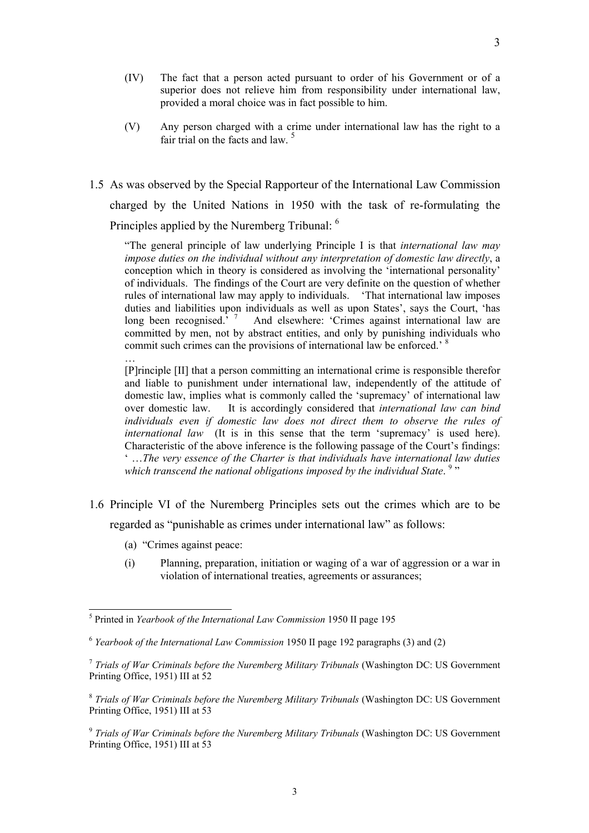- (IV) The fact that a person acted pursuant to order of his Government or of a superior does not relieve him from responsibility under international law, provided a moral choice was in fact possible to him.
- (V) Any person charged with a crime under international law has the right to a fair trial on the facts and law. [5](#page-2-0)
- 1.5 As was observed by the Special Rapporteur of the International Law Commission charged by the United Nations in 1950 with the task of re-formulating the Principles applied by the Nuremberg Tribunal: [6](#page-2-1)

"The general principle of law underlying Principle I is that *international law may impose duties on the individual without any interpretation of domestic law directly*, a conception which in theory is considered as involving the 'international personality' of individuals. The findings of the Court are very definite on the question of whether rules of international law may apply to individuals. 'That international law imposes duties and liabilities upon individuals as well as upon States', says the Court, 'has long been recognised. $\frac{1}{2}$  And elsewhere: 'Crimes against international law are committed by men, not by abstract entities, and only by punishing individuals who commit such crimes can the provisions of international law be enforced.' <sup>[8](#page-2-3)</sup>

[P]rinciple [II] that a person committing an international crime is responsible therefor and liable to punishment under international law, independently of the attitude of domestic law, implies what is commonly called the 'supremacy' of international law over domestic law. It is accordingly considered that *international law can bind individuals even if domestic law does not direct them to observe the rules of international law* (It is in this sense that the term 'supremacy' is used here). Characteristic of the above inference is the following passage of the Court's findings: ' …*The very essence of the Charter is that individuals have international law duties*  whichtranscend the national obligations imposed by the individual State.<sup>9</sup>"

1.6 Principle VI of the Nuremberg Principles sets out the crimes which are to be

regarded as "punishable as crimes under international law" as follows:

(a) "Crimes against peace:

…

(i) Planning, preparation, initiation or waging of a war of aggression or a war in violation of international treaties, agreements or assurances;

<span id="page-2-0"></span> <sup>5</sup> Printed in *Yearbook of the International Law Commission* 1950 II page 195

<span id="page-2-1"></span><sup>6</sup> *Yearbook of the International Law Commission* 1950 II page 192 paragraphs (3) and (2)

<span id="page-2-2"></span><sup>7</sup> *Trials of War Criminals before the Nuremberg Military Tribunals* (Washington DC: US Government Printing Office, 1951) III at 52

<span id="page-2-3"></span><sup>8</sup> *Trials of War Criminals before the Nuremberg Military Tribunals* (Washington DC: US Government Printing Office, 1951) III at 53

<span id="page-2-4"></span><sup>9</sup> *Trials of War Criminals before the Nuremberg Military Tribunals* (Washington DC: US Government Printing Office, 1951) III at 53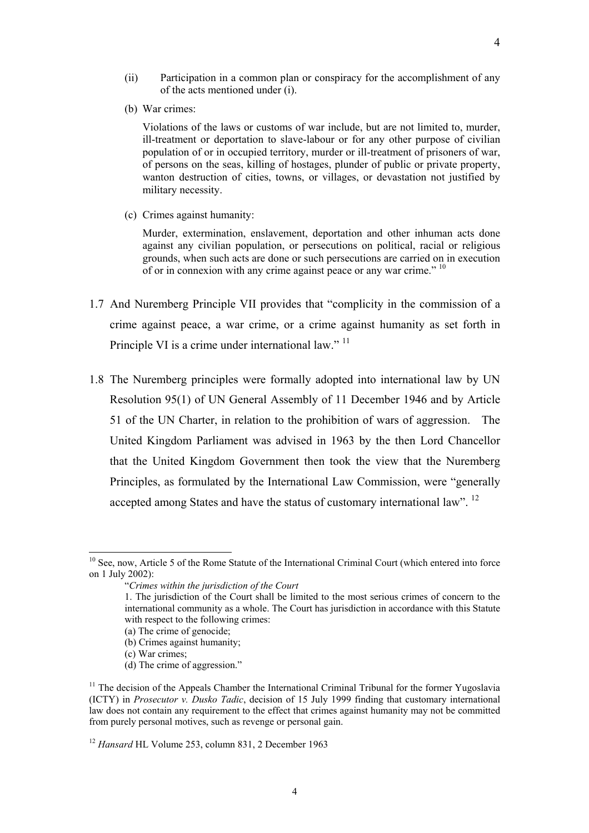- (ii) Participation in a common plan or conspiracy for the accomplishment of any of the acts mentioned under (i).
- (b) War crimes:

Violations of the laws or customs of war include, but are not limited to, murder, ill-treatment or deportation to slave-labour or for any other purpose of civilian population of or in occupied territory, murder or ill-treatment of prisoners of war, of persons on the seas, killing of hostages, plunder of public or private property, wanton destruction of cities, towns, or villages, or devastation not justified by military necessity.

(c) Crimes against humanity:

Murder, extermination, enslavement, deportation and other inhuman acts done against any civilian population, or persecutions on political, racial or religious grounds, when such acts are done or such persecutions are carried on in execution of or in connexion with any crime against peace or any war crime." [10](#page-3-0)

- 1.7 And Nuremberg Principle VII provides that "complicity in the commission of a crime against peace, a war crime, or a crime against humanity as set forth in Principle VI is a crime under international law."<sup>11</sup>
- 1.8 The Nuremberg principles were formally adopted into international law by UN Resolution 95(1) of UN General Assembly of 11 December 1946 and by Article 51 of the UN Charter, in relation to the prohibition of wars of aggression. The United Kingdom Parliament was advised in 1963 by the then Lord Chancellor that the United Kingdom Government then took the view that the Nuremberg Principles, as formulated by the International Law Commission, were "generally accepted among States and have the status of customary international law". <sup>12</sup>

(b) Crimes against humanity;

(d) The crime of aggression."

<span id="page-3-0"></span><sup>&</sup>lt;sup>10</sup> See, now, Article 5 of the Rome Statute of the International Criminal Court (which entered into force on 1 July 2002):

<sup>&</sup>quot;*Crimes within the jurisdiction of the Court* 

<sup>1.</sup> The jurisdiction of the Court shall be limited to the most serious crimes of concern to the international community as a whole. The Court has jurisdiction in accordance with this Statute with respect to the following crimes:

<sup>(</sup>a) The crime of genocide;

<sup>(</sup>c) War crimes;

<span id="page-3-1"></span> $11$  The decision of the Appeals Chamber the International Criminal Tribunal for the former Yugoslavia (ICTY) in *Prosecutor v. Dusko Tadic*, decision of 15 July 1999 finding that customary international law does not contain any requirement to the effect that crimes against humanity may not be committed from purely personal motives, such as revenge or personal gain.

<span id="page-3-2"></span><sup>12</sup> *Hansard* HL Volume 253, column 831, 2 December 1963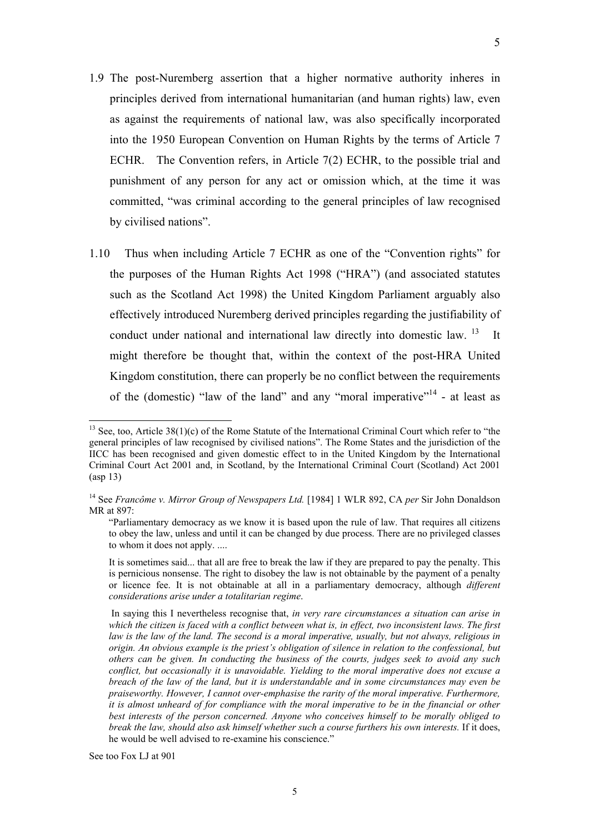- <span id="page-4-1"></span>1.9 The post-Nuremberg assertion that a higher normative authority inheres in principles derived from international humanitarian (and human rights) law, even as against the requirements of national law, was also specifically incorporated into the 1950 European Convention on Human Rights by the terms of Article 7 ECHR. The Convention refers, in Article 7(2) ECHR, to the possible trial and punishment of any person for any act or omission which, at the time it was committed, "was criminal according to the general principles of law recognised by civilised nations".
- 1.10 Thus when including Article 7 ECHR as one of the "Convention rights" for the purposes of the Human Rights Act 1998 ("HRA") (and associated statutes such as the Scotland Act 1998) the United Kingdom Parliament arguably also effectively introduced Nuremberg derived principles regarding the justifiability of conduct under national and international law directly into domestic law. <sup>13</sup> It might therefore be thought that, within the context of the post-HRA United Kingdom constitution, there can properly be no conflict between the requirements of the (domestic) "law of the land" and any "moral imperative"<sup>14</sup> - at least as

See too Fox LJ at 901

<span id="page-4-0"></span><sup>&</sup>lt;sup>13</sup> See, too, Article 38(1)(c) of the Rome Statute of the International Criminal Court which refer to "the general principles of law recognised by civilised nations". The Rome States and the jurisdiction of the IICC has been recognised and given domestic effect to in the United Kingdom by the International Criminal Court Act 2001 and, in Scotland, by the International Criminal Court (Scotland) Act 2001 (asp 13)

<sup>14</sup> See *Francôme v. Mirror Group of Newspapers Ltd.* [1984] 1 WLR 892, CA *per* Sir John Donaldson MR at 897:

<sup>&</sup>quot;Parliamentary democracy as we know it is based upon the rule of law. That requires all citizens to obey the law, unless and until it can be changed by due process. There are no privileged classes to whom it does not apply. ....

It is sometimes said... that all are free to break the law if they are prepared to pay the penalty. This is pernicious nonsense. The right to disobey the law is not obtainable by the payment of a penalty or licence fee. It is not obtainable at all in a parliamentary democracy, although *different considerations arise under a totalitarian regime*.

In saying this I nevertheless recognise that, *in very rare circumstances a situation can arise in which the citizen is faced with a conflict between what is, in effect, two inconsistent laws. The first law is the law of the land. The second is a moral imperative, usually, but not always, religious in origin. An obvious example is the priest's obligation of silence in relation to the confessional, but others can be given. In conducting the business of the courts, judges seek to avoid any such conflict, but occasionally it is unavoidable. Yielding to the moral imperative does not excuse a breach of the law of the land, but it is understandable and in some circumstances may even be praiseworthy. However, I cannot over-emphasise the rarity of the moral imperative. Furthermore, it is almost unheard of for compliance with the moral imperative to be in the financial or other best interests of the person concerned. Anyone who conceives himself to be morally obliged to break the law, should also ask himself whether such a course furthers his own interests.* If it does, he would be well advised to re-examine his conscience."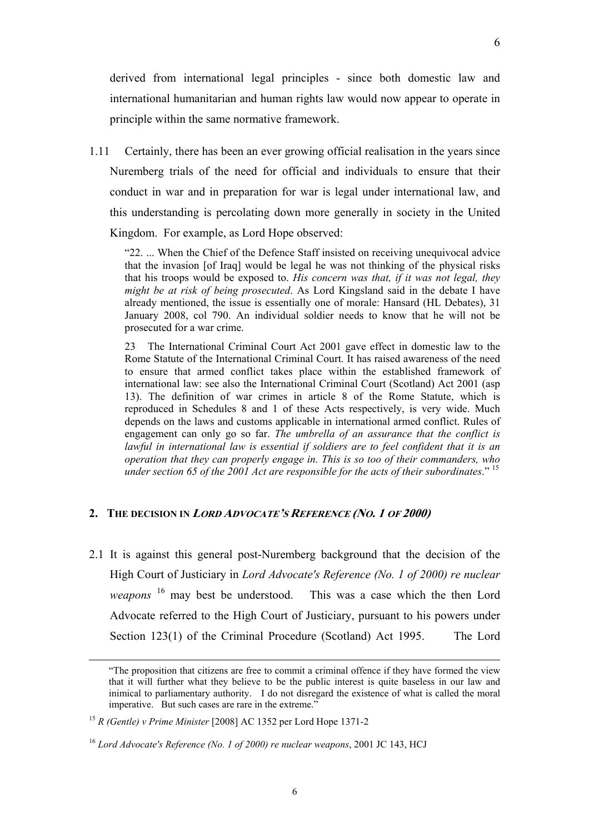derived from international legal principles - since both domestic law and international humanitarian and human rights law would now appear to operate in principle within the same normative framework.

1.11 Certainly, there has been an ever growing official realisation in the years since Nuremberg trials of the need for official and individuals to ensure that their conduct in war and in preparation for war is legal under international law, and this understanding is percolating down more generally in society in the United Kingdom. For example, as Lord Hope observed:

"22. ... When the Chief of the Defence Staff insisted on receiving unequivocal advice that the invasion [of Iraq] would be legal he was not thinking of the physical risks that his troops would be exposed to. *His concern was that, if it was not legal, they might be at risk of being prosecuted*. As Lord Kingsland said in the debate I have already mentioned, the issue is essentially one of morale: Hansard (HL Debates), 31 January 2008, col 790. An individual soldier needs to know that he will not be prosecuted for a war crime.

23 The International Criminal Court Act 2001 gave effect in domestic law to the Rome Statute of the International Criminal Court. It has raised awareness of the need to ensure that armed conflict takes place within the established framework of international law: see also the International Criminal Court (Scotland) Act 2001 (asp 13). The definition of war crimes in article 8 of the Rome Statute, which is reproduced in Schedules 8 and 1 of these Acts respectively, is very wide. Much depends on the laws and customs applicable in international armed conflict. Rules of engagement can only go so far. *The umbrella of an assurance that the conflict is lawful in international law is essential if soldiers are to feel confident that it is an operation that they can properly engage in. This is so too of their commanders, who under section 65 of the 2001 Act are responsible for the acts of their subordinates*." [15](#page-5-0)

## **2. THE DECISION IN <sup>L</sup>ORD ADVOCATE'S REFERENCE (NO. 1 OF 2000)**

2.1 It is against this general post-Nuremberg background that the decision of the High Court of Justiciary in *Lord Advocate's Reference (No. 1 of 2000) re nuclear weapons* [16](#page-5-1) may best be understood. This was a case which the then Lord Advocate referred to the High Court of Justiciary, pursuant to his powers under Section 123(1) of the Criminal Procedure (Scotland) Act 1995. The Lord

<sup>&</sup>quot;The proposition that citizens are free to commit a criminal offence if they have formed the view that it will further what they believe to be the public interest is quite baseless in our law and inimical to parliamentary authority. I do not disregard the existence of what is called the moral imperative. But such cases are rare in the extreme."

<span id="page-5-0"></span><sup>15</sup> *R (Gentle) v Prime Minister* [2008] AC 1352 per Lord Hope 1371-2

<span id="page-5-1"></span><sup>16</sup> *Lord Advocate's Reference (No. 1 of 2000) re nuclear weapons*, 2001 JC 143, HCJ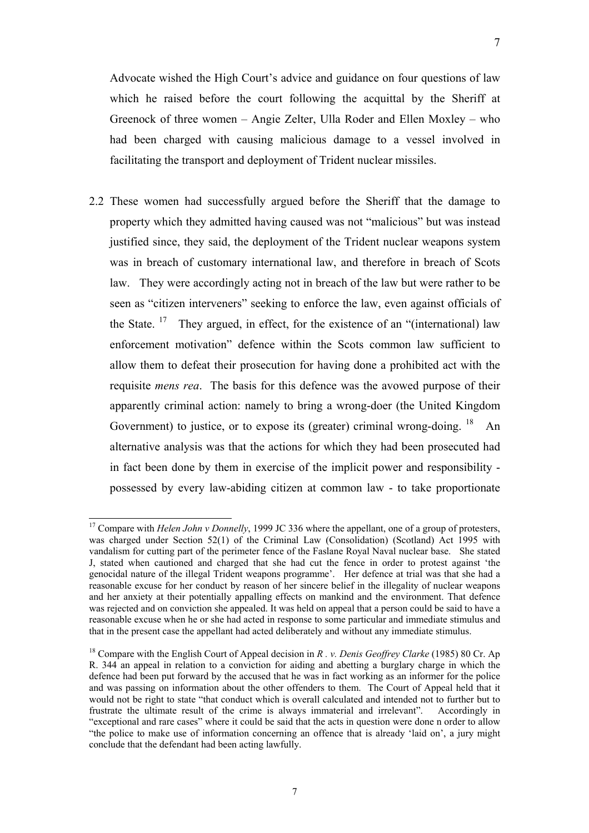Advocate wished the High Court's advice and guidance on four questions of law which he raised before the court following the acquittal by the Sheriff at Greenock of three women – Angie Zelter, Ulla Roder and Ellen Moxley – who had been charged with causing malicious damage to a vessel involved in facilitating the transport and deployment of Trident nuclear missiles.

2.2 These women had successfully argued before the Sheriff that the damage to property which they admitted having caused was not "malicious" but was instead justified since, they said, the deployment of the Trident nuclear weapons system was in breach of customary international law, and therefore in breach of Scots law. They were accordingly acting not in breach of the law but were rather to be seen as "citizen interveners" seeking to enforce the law, even against officials of the State.  $17$  They argued, in effect, for the existence of an "(international) law enforcement motivation" defence within the Scots common law sufficient to allow them to defeat their prosecution for having done a prohibited act with the requisite *mens rea*. The basis for this defence was the avowed purpose of their apparently criminal action: namely to bring a wrong-doer (the United Kingdom Government) to justice, or to expose its (greater) criminal wrong-doing. <sup>18</sup> An alternative analysis was that the actions for which they had been prosecuted had in fact been done by them in exercise of the implicit power and responsibility possessed by every law-abiding citizen at common law - to take proportionate

<span id="page-6-0"></span><sup>&</sup>lt;sup>17</sup> Compare with *Helen John v Donnelly*, 1999 JC 336 where the appellant, one of a group of protesters, was charged under Section 52(1) of the [Criminal Law \(Consolidation\) \(Scotland\) Act](http://uk.westlaw.com/Find/Default.wl?rs=WLUK1.0&vr=2.0&DB=121177&FindType=Y&SerialNum=0111165026) 1995 with vandalism for cutting part of the perimeter fence of the Faslane Royal Naval nuclear base. She stated J, stated when cautioned and charged that she had cut the fence in order to protest against 'the genocidal nature of the illegal Trident weapons programme'. Her defence at trial was that she had a reasonable excuse for her conduct by reason of her sincere belief in the illegality of nuclear weapons and her anxiety at their potentially appalling effects on mankind and the environment. That defence was rejected and on conviction she appealed. It was held on appeal that a person could be said to have a reasonable excuse when he or she had acted in response to some particular and immediate stimulus and that in the present case the appellant had acted deliberately and without any immediate stimulus.

<span id="page-6-1"></span><sup>18</sup> Compare with the English Court of Appeal decision in *R . v. Denis Geoffrey Clarke* (1985) 80 Cr. Ap R. 344 an appeal in relation to a conviction for aiding and abetting a burglary charge in which the defence had been put forward by the accused that he was in fact working as an informer for the police and was passing on information about the other offenders to them. The Court of Appeal held that it would not be right to state "that conduct which is overall calculated and intended not to further but to frustrate the ultimate result of the crime is always immaterial and irrelevant". Accordingly in "exceptional and rare cases" where it could be said that the acts in question were done n order to allow "the police to make use of information concerning an offence that is already 'laid on', a jury might conclude that the defendant had been acting lawfully.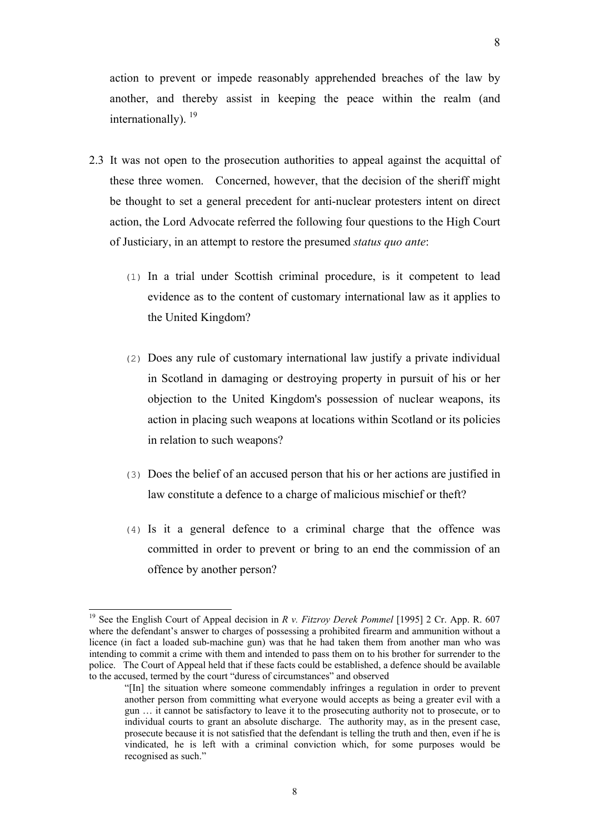action to prevent or impede reasonably apprehended breaches of the law by another, and thereby assist in keeping the peace within the realm (and internationally).<sup>19</sup>

- 2.3 It was not open to the prosecution authorities to appeal against the acquittal of these three women. Concerned, however, that the decision of the sheriff might be thought to set a general precedent for anti-nuclear protesters intent on direct action, the Lord Advocate referred the following four questions to the High Court of Justiciary, in an attempt to restore the presumed *status quo ante*:
	- (1) In a trial under Scottish criminal procedure, is it competent to lead evidence as to the content of customary international law as it applies to the United Kingdom?
	- (2) Does any rule of customary international law justify a private individual in Scotland in damaging or destroying property in pursuit of his or her objection to the United Kingdom's possession of nuclear weapons, its action in placing such weapons at locations within Scotland or its policies in relation to such weapons?
	- (3) Does the belief of an accused person that his or her actions are justified in law constitute a defence to a charge of malicious mischief or theft?
	- (4) Is it a general defence to a criminal charge that the offence was committed in order to prevent or bring to an end the commission of an offence by another person?

<span id="page-7-0"></span><sup>19</sup> See the English Court of Appeal decision in *R v. Fitzroy Derek Pommel* [1995] 2 Cr. App. R. 607 where the defendant's answer to charges of possessing a prohibited firearm and ammunition without a licence (in fact a loaded sub-machine gun) was that he had taken them from another man who was intending to commit a crime with them and intended to pass them on to his brother for surrender to the police. The Court of Appeal held that if these facts could be established, a defence should be available to the accused, termed by the court "duress of circumstances" and observed

<sup>&</sup>quot;[In] the situation where someone commendably infringes a regulation in order to prevent another person from committing what everyone would accepts as being a greater evil with a gun … it cannot be satisfactory to leave it to the prosecuting authority not to prosecute, or to individual courts to grant an absolute discharge. The authority may, as in the present case, prosecute because it is not satisfied that the defendant is telling the truth and then, even if he is vindicated, he is left with a criminal conviction which, for some purposes would be recognised as such."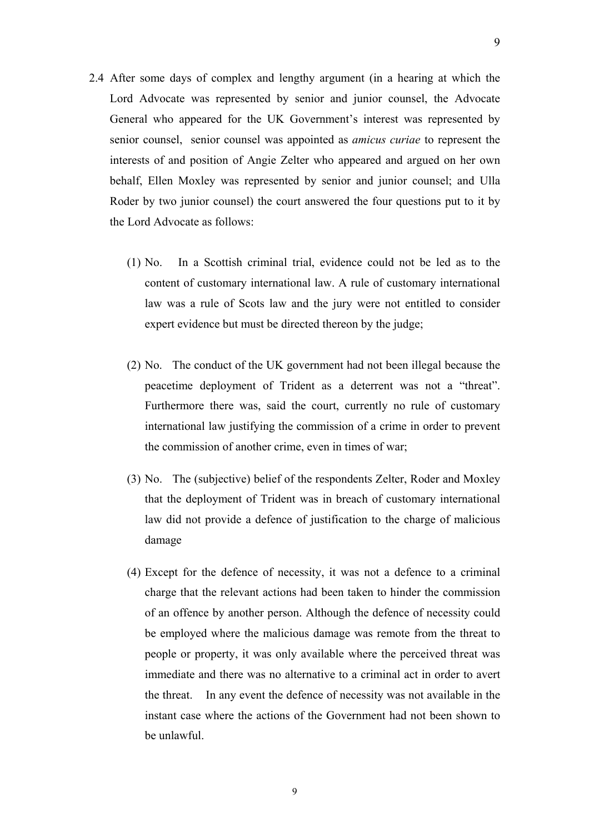- 2.4 After some days of complex and lengthy argument (in a hearing at which the Lord Advocate was represented by senior and junior counsel, the Advocate General who appeared for the UK Government's interest was represented by senior counsel, senior counsel was appointed as *amicus curiae* to represent the interests of and position of Angie Zelter who appeared and argued on her own behalf, Ellen Moxley was represented by senior and junior counsel; and Ulla Roder by two junior counsel) the court answered the four questions put to it by the Lord Advocate as follows:
	- (1) No. In a Scottish criminal trial, evidence could not be led as to the content of customary international law. A rule of customary international law was a rule of Scots law and the jury were not entitled to consider expert evidence but must be directed thereon by the judge;
	- (2) No. The conduct of the UK government had not been illegal because the peacetime deployment of Trident as a deterrent was not a "threat". Furthermore there was, said the court, currently no rule of customary international law justifying the commission of a crime in order to prevent the commission of another crime, even in times of war;
	- (3) No. The (subjective) belief of the respondents Zelter, Roder and Moxley that the deployment of Trident was in breach of customary international law did not provide a defence of justification to the charge of malicious damage
	- (4) Except for the defence of necessity, it was not a defence to a criminal charge that the relevant actions had been taken to hinder the commission of an offence by another person. Although the defence of necessity could be employed where the malicious damage was remote from the threat to people or property, it was only available where the perceived threat was immediate and there was no alternative to a criminal act in order to avert the threat. In any event the defence of necessity was not available in the instant case where the actions of the Government had not been shown to be unlawful.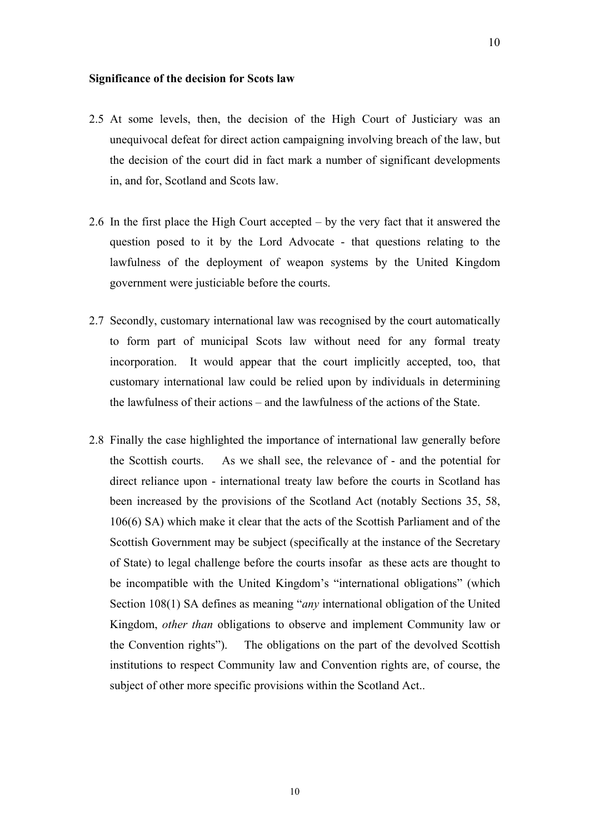## **Significance of the decision for Scots law**

- 2.5 At some levels, then, the decision of the High Court of Justiciary was an unequivocal defeat for direct action campaigning involving breach of the law, but the decision of the court did in fact mark a number of significant developments in, and for, Scotland and Scots law.
- 2.6 In the first place the High Court accepted by the very fact that it answered the question posed to it by the Lord Advocate - that questions relating to the lawfulness of the deployment of weapon systems by the United Kingdom government were justiciable before the courts.
- 2.7 Secondly, customary international law was recognised by the court automatically to form part of municipal Scots law without need for any formal treaty incorporation. It would appear that the court implicitly accepted, too, that customary international law could be relied upon by individuals in determining the lawfulness of their actions – and the lawfulness of the actions of the State.
- 2.8 Finally the case highlighted the importance of international law generally before the Scottish courts. As we shall see, the relevance of - and the potential for direct reliance upon - international treaty law before the courts in Scotland has been increased by the provisions of the Scotland Act (notably Sections 35, 58, 106(6) SA) which make it clear that the acts of the Scottish Parliament and of the Scottish Government may be subject (specifically at the instance of the Secretary of State) to legal challenge before the courts insofar as these acts are thought to be incompatible with the United Kingdom's "international obligations" (which Section 108(1) SA defines as meaning "*any* international obligation of the United Kingdom, *other than* obligations to observe and implement Community law or the Convention rights"). The obligations on the part of the devolved Scottish institutions to respect Community law and Convention rights are, of course, the subject of other more specific provisions within the Scotland Act..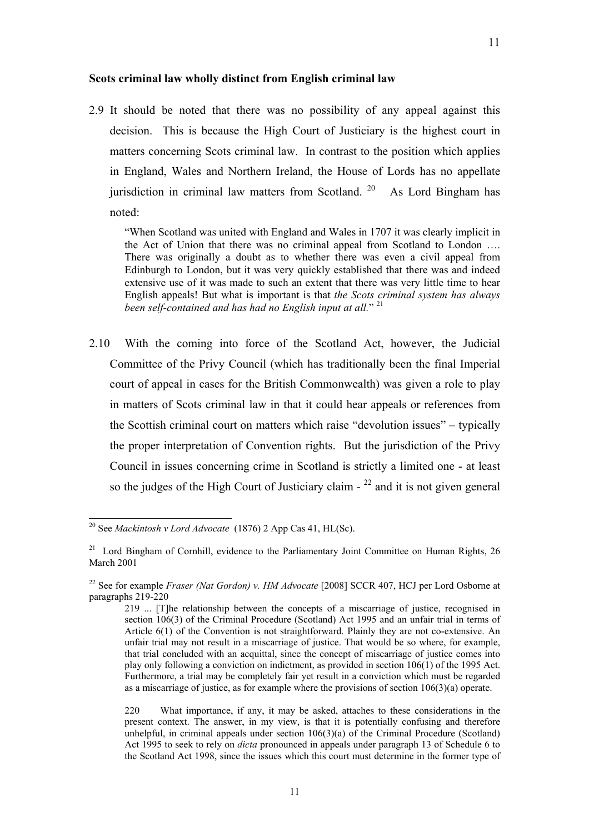#### <span id="page-10-2"></span>**Scots criminal law wholly distinct from English criminal law**

2.9 It should be noted that there was no possibility of any appeal against this decision. This is because the High Court of Justiciary is the highest court in matters concerning Scots criminal law. In contrast to the position which applies in England, Wales and Northern Ireland, the House of Lords has no appellate jurisdiction in criminal law matters from Scotland.  $20$  As Lord Bingham has noted:

"When Scotland was united with England and Wales in 1707 it was clearly implicit in the Act of Union that there was no criminal appeal from Scotland to London …. There was originally a doubt as to whether there was even a civil appeal from Edinburgh to London, but it was very quickly established that there was and indeed extensive use of it was made to such an extent that there was very little time to hear English appeals! But what is important is that *the Scots criminal system has always been self-contained and has had no English input at all.*" [21](#page-10-1)

2.10 With the coming into force of the Scotland Act, however, the Judicial Committee of the Privy Council (which has traditionally been the final Imperial court of appeal in cases for the British Commonwealth) was given a role to play in matters of Scots criminal law in that it could hear appeals or references from the Scottish criminal court on matters which raise "devolution issues" – typically the proper interpretation of Convention rights. But the jurisdiction of the Privy Council in issues concerning crime in Scotland is strictly a limited one - at least so the judges of the High Court of Justiciary claim  $^{22}$  and it is not given general

<span id="page-10-0"></span> <sup>20</sup> See *Mackintosh v Lord Advocate* (1876) 2 App Cas 41, HL(Sc).

<span id="page-10-1"></span><sup>&</sup>lt;sup>21</sup> Lord Bingham of Cornhill, evidence to the Parliamentary Joint Committee on Human Rights, 26 March 2001

<sup>22</sup> See for example *Fraser (Nat Gordon) v. HM Advocate* [2008] SCCR 407, HCJ per Lord Osborne at paragraphs 219-220

<sup>219 ... [</sup>T]he relationship between the concepts of a miscarriage of justice, recognised in section 106(3) of the Criminal Procedure (Scotland) Act 1995 and an unfair trial in terms of Article 6(1) of the Convention is not straightforward. Plainly they are not co-extensive. An unfair trial may not result in a miscarriage of justice. That would be so where, for example, that trial concluded with an acquittal, since the concept of miscarriage of justice comes into play only following a conviction on indictment, as provided in section 106(1) of the 1995 Act. Furthermore, a trial may be completely fair yet result in a conviction which must be regarded as a miscarriage of justice, as for example where the provisions of section  $106(3)(a)$  operate.

<sup>220</sup> What importance, if any, it may be asked, attaches to these considerations in the present context. The answer, in my view, is that it is potentially confusing and therefore unhelpful, in criminal appeals under section  $106(3)(a)$  of the Criminal Procedure (Scotland) Act 1995 to seek to rely on *dicta* pronounced in appeals under paragraph 13 of Schedule 6 to the Scotland Act 1998, since the issues which this court must determine in the former type of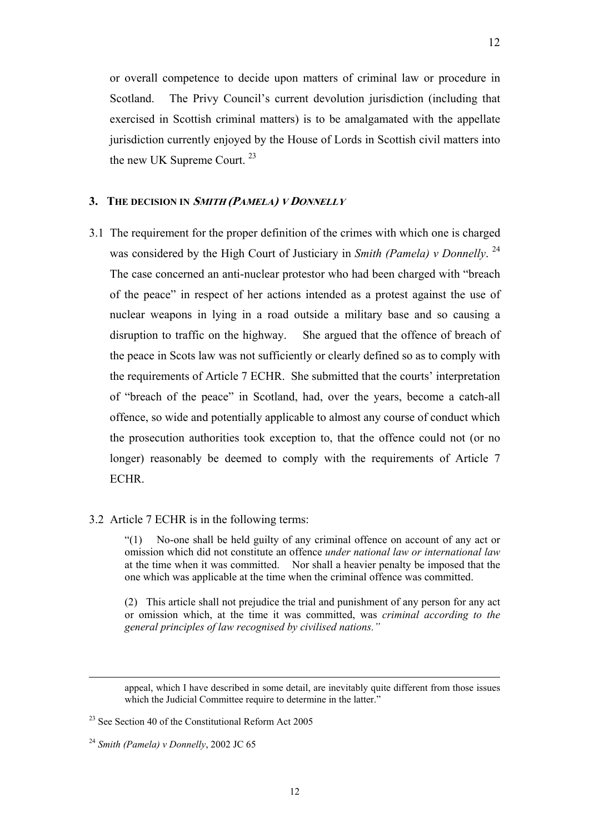or overall competence to decide upon matters of criminal law or procedure in Scotland. The Privy Council's current devolution jurisdiction (including that exercised in Scottish criminal matters) is to be amalgamated with the appellate jurisdiction currently enjoyed by the House of Lords in Scottish civil matters into the new UK Supreme Court.<sup>[23](#page-11-0)</sup>

# **3. THE DECISION IN <sup>S</sup>MITH (PAMELA) V DONNELLY**

3.1 The requirement for the proper definition of the crimes with which one is charged was considered by the High Court of Justiciary in *Smith (Pamela) v Donnelly*.<sup>24</sup> The case concerned an anti-nuclear protestor who had been charged with "breach of the peace" in respect of her actions intended as a protest against the use of nuclear weapons in lying in a road outside a military base and so causing a disruption to traffic on the highway. She argued that the offence of breach of the peace in Scots law was not sufficiently or clearly defined so as to comply with the requirements of Article 7 ECHR. She submitted that the courts' interpretation of "breach of the peace" in Scotland, had, over the years, become a catch-all offence, so wide and potentially applicable to almost any course of conduct which the prosecution authorities took exception to, that the offence could not (or no longer) reasonably be deemed to comply with the requirements of Article 7 ECHR.

## 3.2 Article 7 ECHR is in the following terms:

"(1) No-one shall be held guilty of any criminal offence on account of any act or omission which did not constitute an offence *under national law or international law* at the time when it was committed. Nor shall a heavier penalty be imposed that the one which was applicable at the time when the criminal offence was committed.

(2) This article shall not prejudice the trial and punishment of any person for any act or omission which, at the time it was committed, was *criminal according to the general principles of law recognised by civilised nations."*

appeal, which I have described in some detail, are inevitably quite different from those issues which the Judicial Committee require to determine in the latter."

<span id="page-11-0"></span><sup>&</sup>lt;sup>23</sup> See Section 40 of the Constitutional Reform Act 2005

<span id="page-11-1"></span><sup>24</sup> *Smith (Pamela) v Donnelly*, [2002 JC](http://uk.westlaw.com/Find/Default.wl?rs=WLUK1.0&vr=2.0&DB=4760&FindType=g&SerialNum=2001620607) 65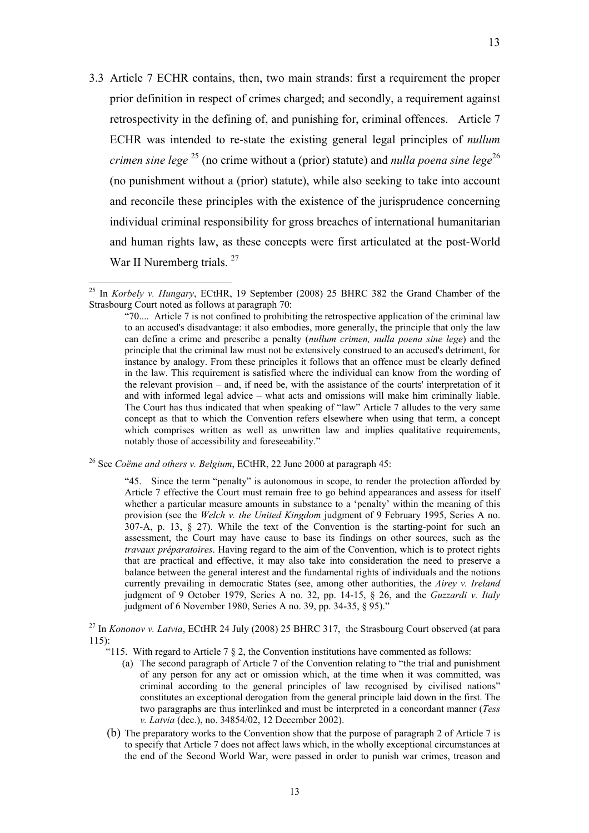<span id="page-12-2"></span>3.3 Article 7 ECHR contains, then, two main strands: first a requirement the proper prior definition in respect of crimes charged; and secondly, a requirement against retrospectivity in the defining of, and punishing for, criminal offences. Article 7 ECHR was intended to re-state the existing general legal principles of *nullum crimen sine lege* <sup>25</sup> (no crime without a (prior) statute) and *nulla poena sine lege*<sup>[26](#page-12-1)</sup> (no punishment without a (prior) statute), while also seeking to take into account and reconcile these principles with the existence of the jurisprudence concerning individual criminal responsibility for gross breaches of international humanitarian and human rights law, as these concepts were first articulated at the post-World War II Nuremberg trials.<sup>27</sup>

- "115. With regard to Article 7  $\S$  2, the Convention institutions have commented as follows:
	- (a) The second paragraph of Article 7 of the Convention relating to "the trial and punishment of any person for any act or omission which, at the time when it was committed, was criminal according to the general principles of law recognised by civilised nations" constitutes an exceptional derogation from the general principle laid down in the first. The two paragraphs are thus interlinked and must be interpreted in a concordant manner (*Tess v. Latvia* (dec.), no. 34854/02, 12 December 2002).
- (b) The preparatory works to the Convention show that the purpose of paragraph 2 of Article 7 is to specify that Article 7 does not affect laws which, in the wholly exceptional circumstances at the end of the Second World War, were passed in order to punish war crimes, treason and

<span id="page-12-0"></span> <sup>25</sup> In *Korbely v. Hungary*, ECtHR, 19 September (2008) 25 BHRC 382 the Grand Chamber of the Strasbourg Court noted as follows at paragraph 70:

 $"70...$  Article 7 is not confined to prohibiting the retrospective application of the criminal law to an accused's disadvantage: it also embodies, more generally, the principle that only the law can define a crime and prescribe a penalty (*nullum crimen, nulla poena sine lege*) and the principle that the criminal law must not be extensively construed to an accused's detriment, for instance by analogy. From these principles it follows that an offence must be clearly defined in the law. This requirement is satisfied where the individual can know from the wording of the relevant provision – and, if need be, with the assistance of the courts' interpretation of it and with informed legal advice – what acts and omissions will make him criminally liable. The Court has thus indicated that when speaking of "law" Article 7 alludes to the very same concept as that to which the Convention refers elsewhere when using that term, a concept which comprises written as well as unwritten law and implies qualitative requirements, notably those of accessibility and foreseeability."

<span id="page-12-1"></span><sup>26</sup> See *Coëme and others v. Belgium*, ECtHR, 22 June 2000 at paragraph 45:

<sup>&</sup>quot;45. Since the term "penalty" is autonomous in scope, to render the protection afforded by Article 7 effective the Court must remain free to go behind appearances and assess for itself whether a particular measure amounts in substance to a 'penalty' within the meaning of this provision (see the *Welch v. the United Kingdom* judgment of 9 February 1995, Series A no.  $307-A$ , p. 13,  $\S$  27). While the text of the Convention is the starting-point for such an assessment, the Court may have cause to base its findings on other sources, such as the *travaux préparatoires*. Having regard to the aim of the Convention, which is to protect rights that are practical and effective, it may also take into consideration the need to preserve a balance between the general interest and the fundamental rights of individuals and the notions currently prevailing in democratic States (see, among other authorities, the *Airey v. Ireland* judgment of 9 October 1979, Series A no. 32, pp. 14-15, § 26, and the *Guzzardi v. Italy* judgment of 6 November 1980, Series A no. 39, pp. 34-35, § 95)."

<sup>27</sup> In *Kononov v. Latvia*, ECtHR 24 July (2008) 25 BHRC 317, the Strasbourg Court observed (at para 115):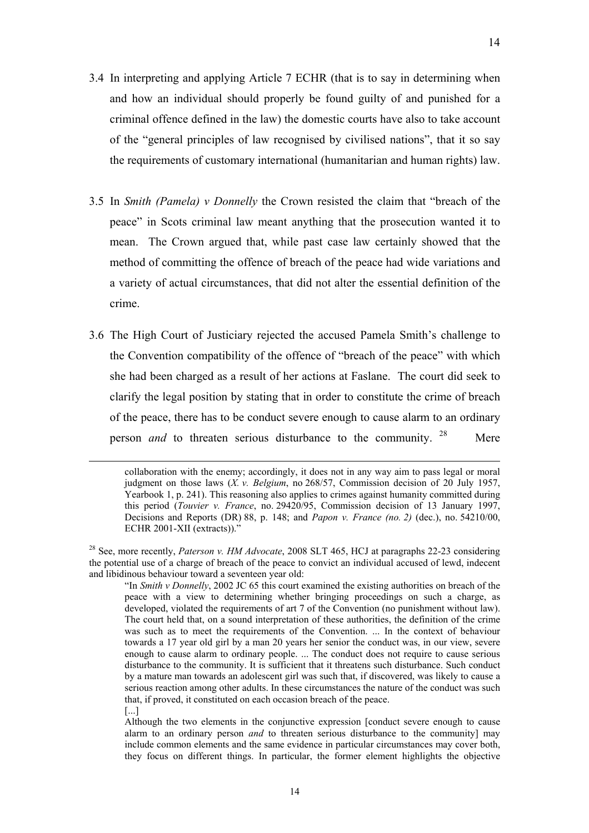- <span id="page-13-0"></span>3.4 In interpreting and applying Article 7 ECHR (that is to say in determining when and how an individual should properly be found guilty of and punished for a criminal offence defined in the law) the domestic courts have also to take account of the "general principles of law recognised by civilised nations", that it so say the requirements of customary international (humanitarian and human rights) law.
- 3.5 In *Smith (Pamela) v Donnelly* the Crown resisted the claim that "breach of the peace" in Scots criminal law meant anything that the prosecution wanted it to mean. The Crown argued that, while past case law certainly showed that the method of committing the offence of breach of the peace had wide variations and a variety of actual circumstances, that did not alter the essential definition of the crime.
- 3.6 The High Court of Justiciary rejected the accused Pamela Smith's challenge to the Convention compatibility of the offence of "breach of the peace" with which she had been charged as a result of her actions at Faslane. The court did seek to clarify the legal position by stating that in order to constitute the crime of breach of the peace, there has to be conduct severe enough to cause alarm to an ordinary person *and* to threaten serious disturbance to the community. <sup>28</sup> Mere

collaboration with the enemy; accordingly, it does not in any way aim to pass legal or moral judgment on those laws (*X. v. Belgium*, no 268/57, Commission decision of 20 July 1957, Yearbook 1, p. 241). This reasoning also applies to crimes against humanity committed during this period (*Touvier v. France*, no. 29420/95, Commission decision of 13 January 1997, Decisions and Reports (DR) 88, p. 148; and *Papon v. France (no. 2)* (dec.), no. 54210/00, ECHR 2001-XII (extracts))."

<sup>&</sup>lt;sup>28</sup> See, more recently, *Paterson v. HM Advocate*, 2008 SLT 465, HCJ at paragraphs 22-23 considering the potential use of a charge of breach of the peace to convict an individual accused of lewd, indecent and libidinous behaviour toward a seventeen year old:

<sup>&</sup>quot;In *Smith v Donnelly*, 2002 JC 65 this court examined the existing authorities on breach of the peace with a view to determining whether bringing proceedings on such a charge, as developed, violated the requirements of art 7 of the Convention (no punishment without law). The court held that, on a sound interpretation of these authorities, the definition of the crime was such as to meet the requirements of the Convention. ... In the context of behaviour towards a 17 year old girl by a man 20 years her senior the conduct was, in our view, severe enough to cause alarm to ordinary people. ... The conduct does not require to cause serious disturbance to the community. It is sufficient that it threatens such disturbance. Such conduct by a mature man towards an adolescent girl was such that, if discovered, was likely to cause a serious reaction among other adults. In these circumstances the nature of the conduct was such that, if proved, it constituted on each occasion breach of the peace.

<sup>[...]</sup>

Although the two elements in the conjunctive expression [conduct severe enough to cause alarm to an ordinary person *and* to threaten serious disturbance to the community] may include common elements and the same evidence in particular circumstances may cover both, they focus on different things. In particular, the former element highlights the objective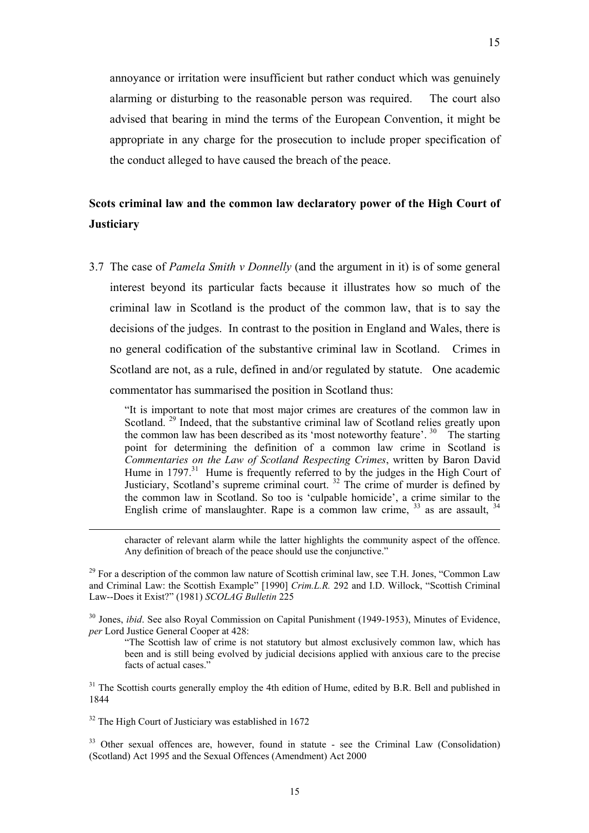annoyance or irritation were insufficient but rather conduct which was genuinely alarming or disturbing to the reasonable person was required. The court also advised that bearing in mind the terms of the European Convention, it might be appropriate in any charge for the prosecution to include proper specification of the conduct alleged to have caused the breach of the peace.

# **Scots criminal law and the common law declaratory power of the High Court of Justiciary**

<span id="page-14-5"></span>3.7 The case of *Pamela Smith v Donnelly* (and the argument in it) is of some general interest beyond its particular facts because it illustrates how so much of the criminal law in Scotland is the product of the common law, that is to say the decisions of the judges. In contrast to the position in England and Wales, there is no general codification of the substantive criminal law in Scotland. Crimes in Scotland are not, as a rule, defined in and/or regulated by statute. One academic commentator has summarised the position in Scotland thus:

"It is important to note that most major crimes are creatures of the common law in Scotland.<sup>29</sup> Indeed, that the substantive criminal law of Scotland relies greatly upon the common law has been described as its 'most noteworthy feature'.  $30$  The starting point for determining the definition of a common law crime in Scotland is *Commentaries on the Law of Scotland Respecting Crimes*, written by Baron David Hume in  $1797<sup>31</sup>$  $1797<sup>31</sup>$  $1797<sup>31</sup>$  Hume is frequently referred to by the judges in the High Court of Justiciary, Scotland's supreme criminal court.<sup>32</sup> The crime of murder is defined by the common law in Scotland. So too is 'culpable homicide', a crime similar to the English crime of manslaughter. Rape is a common law crime,  $33$  as are assault,  $34$ 

character of relevant alarm while the latter highlights the community aspect of the offence. Any definition of breach of the peace should use the conjunctive."

<span id="page-14-0"></span> $^{29}$  For a description of the common law nature of Scottish criminal law, see T.H. Jones, "Common Law and Criminal Law: the Scottish Example" [1990] *Crim.L.R.* 292 and I.D. Willock, "Scottish Criminal Law--Does it Exist?" (1981) *SCOLAG Bulletin* 225

<span id="page-14-1"></span><sup>30</sup> Jones, *ibid.* See also Royal Commission on Capital Punishment (1949-1953), Minutes of Evidence, *per* Lord Justice General Cooper at 428:

"The Scottish law of crime is not statutory but almost exclusively common law, which has been and is still being evolved by judicial decisions applied with anxious care to the precise facts of actual cases."

<span id="page-14-2"></span><sup>31</sup> The Scottish courts generally employ the 4th edition of Hume, edited by B.R. Bell and published in 1844

<span id="page-14-3"></span> $32$  The High Court of Justiciary was established in 1672

 $\overline{a}$ 

<span id="page-14-4"></span><sup>33</sup> Other sexual offences are, however, found in statute - see the Criminal Law (Consolidation) (Scotland) Act 1995 and the Sexual Offences (Amendment) Act 2000

15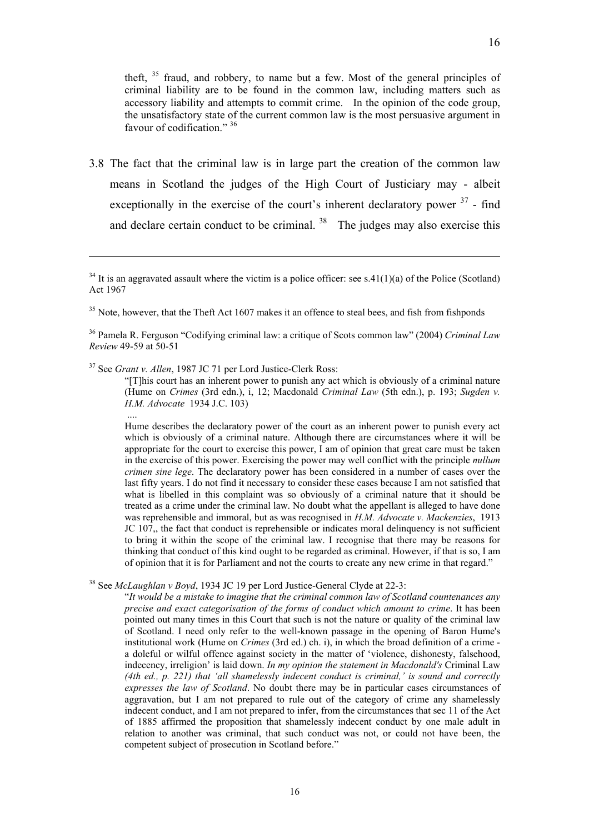theft,  $35$  fraud, and robbery, to name but a few. Most of the general principles of criminal liability are to be found in the common law, including matters such as accessory liability and attempts to commit crime. In the opinion of the code group, the unsatisfactory state of the current common law is the most persuasive argument in favour of codification." [36](#page-15-1)

3.8 The fact that the criminal law is in large part the creation of the common law means in Scotland the judges of the High Court of Justiciary may - albeit exceptionally in the exercise of the court's inherent declaratory power  $37$  - find and declare certain conduct to be criminal.  $38$  The judges may also exercise this

<span id="page-15-0"></span><sup>35</sup> Note, however, that the Theft Act 1607 makes it an offence to steal bees, and fish from fishponds

<span id="page-15-1"></span><sup>36</sup> Pamela R. Ferguson "Codifying criminal law: a critique of Scots common law" (2004) *Criminal Law Review* 49-59 at 50-51

<span id="page-15-2"></span>37 See *Grant v. Allen*, 1987 JC 71 per Lord Justice-Clerk Ross:

 $\overline{a}$ 

....

"[T]his court has an inherent power to punish any act which is obviously of a criminal nature (Hume on *Crimes* (3rd edn.), i, 12; Macdonald *Criminal Law* (5th edn.), p. 193; *Sugden v. H.M. Advocate* 1934 J.C. 103)

Hume describes the declaratory power of the court as an inherent power to punish every act which is obviously of a criminal nature. Although there are circumstances where it will be appropriate for the court to exercise this power, I am of opinion that great care must be taken in the exercise of this power. Exercising the power may well conflict with the principle *nullum crimen sine lege*. The declaratory power has been considered in a number of cases over the last fifty years. I do not find it necessary to consider these cases because I am not satisfied that what is libelled in this complaint was so obviously of a criminal nature that it should be treated as a crime under the criminal law. No doubt what the appellant is alleged to have done was reprehensible and immoral, but as was recognised in *H.M. Advocate v. Mackenzies*, 1913 JC 107, the fact that conduct is reprehensible or indicates moral delinquency is not sufficient to bring it within the scope of the criminal law. I recognise that there may be reasons for thinking that conduct of this kind ought to be regarded as criminal. However, if that is so, I am of opinion that it is for Parliament and not the courts to create any new crime in that regard."

<span id="page-15-3"></span>38 See *McLaughlan v Boyd*, 1934 JC 19 per Lord Justice-General Clyde at 22-3:

"*It would be a mistake to imagine that the criminal common law of Scotland countenances any precise and exact categorisation of the forms of conduct which amount to crime*. It has been pointed out many times in this Court that such is not the nature or quality of the criminal law of Scotland. I need only refer to the well-known passage in the opening of Baron Hume's institutional work (Hume on *Crimes* (3rd ed.) ch. i), in which the broad definition of a crime a doleful or wilful offence against society in the matter of 'violence, dishonesty, falsehood, indecency, irreligion' is laid down. *In my opinion the statement in Macdonald's* Criminal Law *(4th ed., p. 221) that 'all shamelessly indecent conduct is criminal,' is sound and correctly expresses the law of Scotland*. No doubt there may be in particular cases circumstances of aggravation, but I am not prepared to rule out of the category of crime any shamelessly indecent conduct, and I am not prepared to infer, from the circumstances that sec 11 of the Act of 1885 affirmed the proposition that shamelessly indecent conduct by one male adult in relation to another was criminal, that such conduct was not, or could not have been, the competent subject of prosecution in Scotland before."

 $34$  It is an aggravated assault where the victim is a police officer: see s.41(1)(a) of the Police (Scotland) Act 1967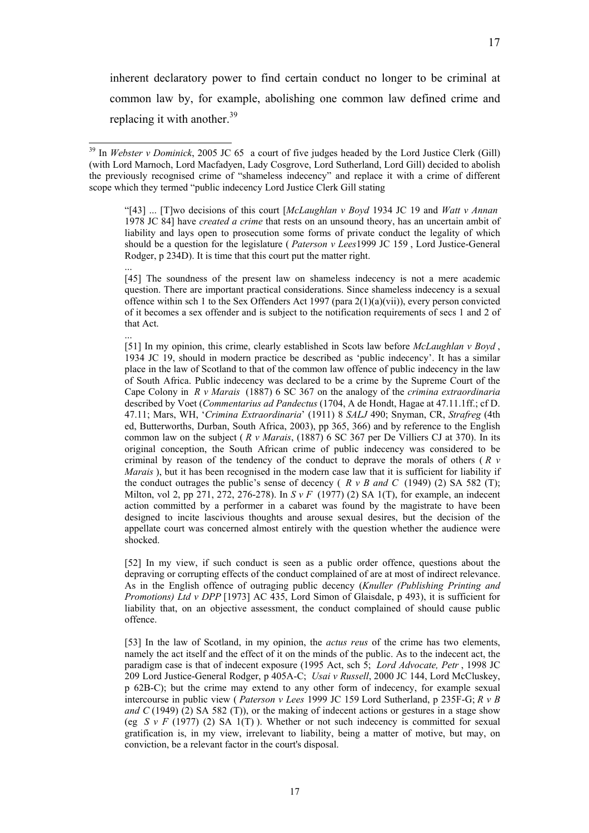<span id="page-16-0"></span>inherent declaratory power to find certain conduct no longer to be criminal at common law by, for example, abolishing one common law defined crime and replacing it with another.<sup>[39](#page-16-0)</sup>

...

...

"[43] ... [T]wo decisions of this court [*McLaughlan v Boyd* 1934 JC 19 and *Watt v Annan* 1978 JC 84] have *created a crime* that rests on an unsound theory, has an uncertain ambit of liability and lays open to prosecution some forms of private conduct the legality of which should be a question for the legislature ( *Paterson v Lees*1999 JC 159 , Lord Justice-General Rodger, p 234D). It is time that this court put the matter right.

[45] The soundness of the present law on shameless indecency is not a mere academic question. There are important practical considerations. Since shameless indecency is a sexual offence within sch 1 to the Sex Offenders Act 1997 (para  $2(1)(a)(vii)$ ), every person convicted of it becomes a sex offender and is subject to the notification requirements of secs 1 and 2 of that Act.

[51] In my opinion, this crime, clearly established in Scots law before *McLaughlan v Boyd* , 1934 JC 19, should in modern practice be described as 'public indecency'. It has a similar place in the law of Scotland to that of the common law offence of public indecency in the law of South Africa. Public indecency was declared to be a crime by the Supreme Court of the Cape Colony in *R v Marais* (1887) 6 SC 367 on the analogy of the *crimina extraordinaria* described by Voet (*Commentarius ad Pandectus* (1704, A de Hondt, Hagae at 47.11.1ff.; cf D. 47.11; Mars, WH, '*Crimina Extraordinaria*' (1911) 8 *SALJ* 490; Snyman, CR, *Strafreg* (4th ed, Butterworths, Durban, South Africa, 2003), pp 365, 366) and by reference to the English common law on the subject ( *R v Marais*, (1887) 6 SC 367 per De Villiers CJ at 370). In its original conception, the South African crime of public indecency was considered to be criminal by reason of the tendency of the conduct to deprave the morals of others ( $R \nu$ ) *Marais*), but it has been recognised in the modern case law that it is sufficient for liability if the conduct outrages the public's sense of decency ( *R v B and C* (1949) (2) SA 582 (T); Milton, vol 2, pp 271, 272, 276-278). In *S v F* (1977) (2) SA 1(T), for example, an indecent action committed by a performer in a cabaret was found by the magistrate to have been designed to incite lascivious thoughts and arouse sexual desires, but the decision of the appellate court was concerned almost entirely with the question whether the audience were shocked.

[52] In my view, if such conduct is seen as a public order offence, questions about the depraving or corrupting effects of the conduct complained of are at most of indirect relevance. As in the English offence of outraging public decency (*Knuller (Publishing Printing and Promotions) Ltd v DPP* [1973] AC 435, Lord Simon of Glaisdale, p 493), it is sufficient for liability that, on an objective assessment, the conduct complained of should cause public offence.

[53] In the law of Scotland, in my opinion, the *actus reus* of the crime has two elements, namely the act itself and the effect of it on the minds of the public. As to the indecent act, the paradigm case is that of indecent exposure (1995 Act, sch 5; *Lord Advocate, Petr* , 1998 JC 209 Lord Justice-General Rodger, p 405A-C; *Usai v Russell*, 2000 JC 144, Lord McCluskey, p 62B-C); but the crime may extend to any other form of indecency, for example sexual intercourse in public view ( *Paterson v Lees* 1999 JC 159 Lord Sutherland, p 235F-G; *R v B and C* (1949) (2) SA 582 (T)), or the making of indecent actions or gestures in a stage show (eg  $S \vee F$  (1977) (2) SA 1(T)). Whether or not such indecency is committed for sexual gratification is, in my view, irrelevant to liability, being a matter of motive, but may, on conviction, be a relevant factor in the court's disposal.

<sup>&</sup>lt;sup>39</sup> In *Webster v Dominick*, 2005 JC 65 a court of five judges headed by the Lord Justice Clerk (Gill) (with Lord Marnoch, Lord Macfadyen, Lady Cosgrove, Lord Sutherland, Lord Gill) decided to abolish the previously recognised crime of "shameless indecency" and replace it with a crime of different scope which they termed "public indecency Lord Justice Clerk Gill stating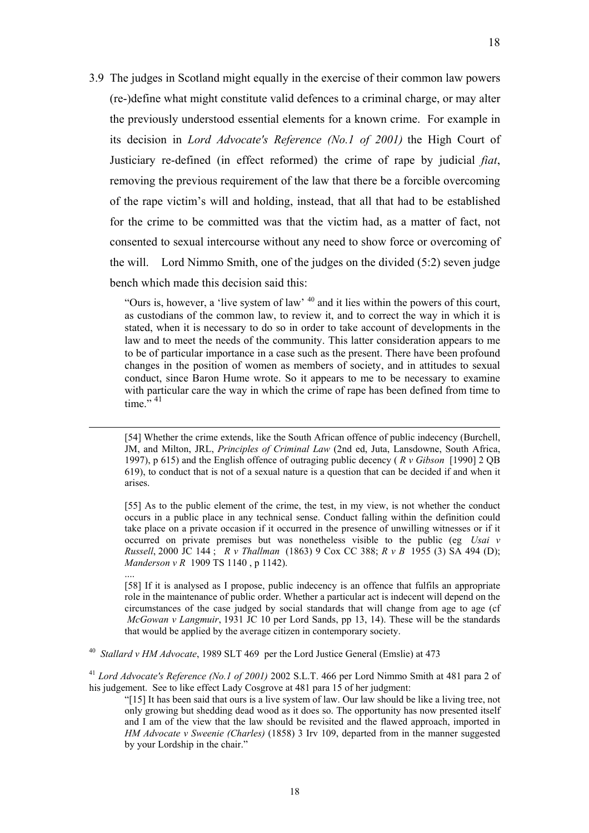3.9 The judges in Scotland might equally in the exercise of their common law powers (re-)define what might constitute valid defences to a criminal charge, or may alter the previously understood essential elements for a known crime. For example in its decision in *Lord Advocate's Reference (No.1 of 2001)* the High Court of Justiciary re-defined (in effect reformed) the crime of rape by judicial *fiat*, removing the previous requirement of the law that there be a forcible overcoming of the rape victim's will and holding, instead, that all that had to be established for the crime to be committed was that the victim had, as a matter of fact, not consented to sexual intercourse without any need to show force or overcoming of the will. Lord Nimmo Smith, one of the judges on the divided (5:2) seven judge bench which made this decision said this:

"Ours is, however, a 'live system of law' [40 a](#page-17-0)nd it lies within the powers of this court, as custodians of the common law, to review it, and to correct the way in which it is stated, when it is necessary to do so in order to take account of developments in the law and to meet the needs of the community. This latter consideration appears to me to be of particular importance in a case such as the present. There have been profound changes in the position of women as members of society, and in attitudes to sexual conduct, since Baron Hume wrote. So it appears to me to be necessary to examine with particular care the way in which the crime of rape has been defined from time to  $time \frac{1}{2}$ , [41](#page-17-1)

[54] Whether the crime extends, like the South African offence of public indecency (Burchell, JM, and Milton, JRL, *Principles of Criminal Law* (2nd ed, Juta, Lansdowne, South Africa, 1997), p 615) and the English offence of outraging public decency ( *R v Gibson* [1990] 2 QB 619), to conduct that is not of a sexual nature is a question that can be decided if and when it arises.

[55] As to the public element of the crime, the test, in my view, is not whether the conduct occurs in a public place in any technical sense. Conduct falling within the definition could take place on a private occasion if it occurred in the presence of unwilling witnesses or if it occurred on private premises but was nonetheless visible to the public (eg *Usai v Russell*, 2000 JC 144 ; *R v Thallman* (1863) 9 Cox CC 388; *R v B* 1955 (3) SA 494 (D); *Manderson v R* 1909 TS 1140, p 1142). ....

[58] If it is analysed as I propose, public indecency is an offence that fulfils an appropriate role in the maintenance of public order. Whether a particular act is indecent will depend on the circumstances of the case judged by social standards that will change from age to age (cf *McGowan v Langmuir*, 1931 JC 10 per Lord Sands, pp 13, 14). These will be the standards that would be applied by the average citizen in contemporary society.

<span id="page-17-0"></span>40 *[Stallard v HM Advocate](http://uk.westlaw.com/Find/Default.wl?rs=WLUK1.0&vr=2.0&DB=UK-CASELOC&FindType=Y&SerialNum=1989325829)*, 1989 SLT 469 per the Lord Justice General (Emslie) at 473

 $\overline{a}$ 

<span id="page-17-1"></span><sup>41</sup> *Lord Advocate's Reference (No.1 of 2001)* 2002 S.L.T. 466 per Lord Nimmo Smith at 481 para 2 of his judgement. See to like effect Lady Cosgrove at 481 para 15 of her judgment:

"[15] It has been said that ours is a live system of law. Our law should be like a living tree, not only growing but shedding dead wood as it does so. The opportunity has now presented itself and I am of the view that the law should be revisited and the flawed approach, imported in *HM Advocate v Sweenie (Charles)* (1858) 3 Irv 109, departed from in the manner suggested by your Lordship in the chair."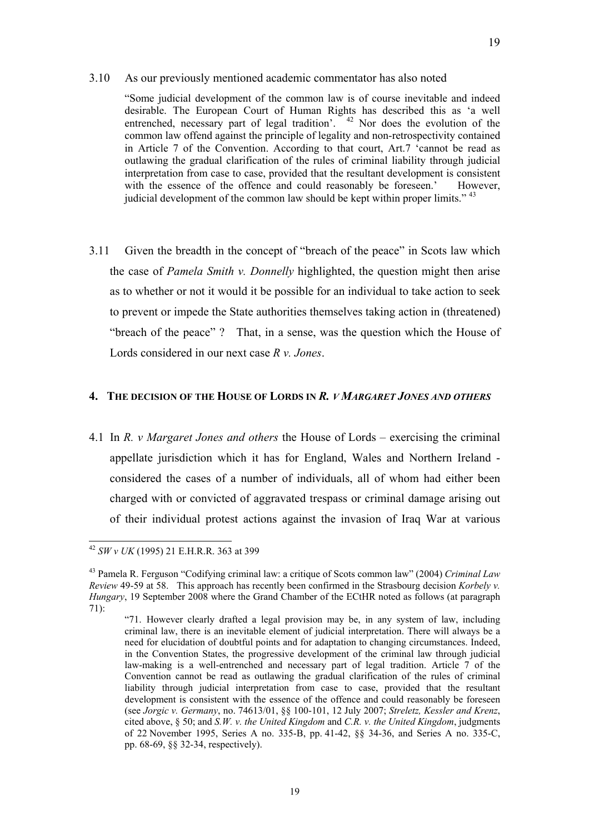#### 3.10 As our previously mentioned academic commentator has also noted

"Some judicial development of the common law is of course inevitable and indeed desirable. The European Court of Human Rights has described this as 'a well entrenched, necessary part of legal tradition'.  $42$  Nor does the evolution of the common law offend against the principle of legality and non-retrospectivity contained in Article 7 of the Convention. According to that court, Art.7 'cannot be read as outlawing the gradual clarification of the rules of criminal liability through judicial interpretation from case to case, provided that the resultant development is consistent with the essence of the offence and could reasonably be foreseen.' However, judicial development of the common law should be kept within proper limits."<sup>[43](#page-18-1)</sup>

3.11 Given the breadth in the concept of "breach of the peace" in Scots law which the case of *Pamela Smith v. Donnelly* highlighted, the question might then arise as to whether or not it would it be possible for an individual to take action to seek to prevent or impede the State authorities themselves taking action in (threatened) "breach of the peace" ? That, in a sense, was the question which the House of Lords considered in our next case *R v. Jones*.

## **4. THE DECISION OF THE HOUSE OF LORDS IN** *R. V MARGARET JONES AND OTHERS*

4.1 In *R. v Margaret Jones and others* the House of Lords – exercising the criminal appellate jurisdiction which it has for England, Wales and Northern Ireland considered the cases of a number of individuals, all of whom had either been charged with or convicted of aggravated trespass or criminal damage arising out of their individual protest actions against the invasion of Iraq War at various

<span id="page-18-0"></span> <sup>42</sup> *SW v UK* (1995) 21 E.H.R.R. 363 at 399

<span id="page-18-1"></span><sup>43</sup> Pamela R. Ferguson "Codifying criminal law: a critique of Scots common law" (2004) *Criminal Law Review* 49-59 at 58. This approach has recently been confirmed in the Strasbourg decision *Korbely v. Hungary*, 19 September 2008 where the Grand Chamber of the ECtHR noted as follows (at paragraph 71):

<sup>&</sup>quot;71. However clearly drafted a legal provision may be, in any system of law, including criminal law, there is an inevitable element of judicial interpretation. There will always be a need for elucidation of doubtful points and for adaptation to changing circumstances. Indeed, in the Convention States, the progressive development of the criminal law through judicial law-making is a well-entrenched and necessary part of legal tradition. Article 7 of the Convention cannot be read as outlawing the gradual clarification of the rules of criminal liability through judicial interpretation from case to case, provided that the resultant development is consistent with the essence of the offence and could reasonably be foreseen (see *Jorgic v. Germany*, no. 74613/01, §§ 100-101, 12 July 2007; *Streletz, Kessler and Krenz*, cited above, § 50; and *S.W. v. the United Kingdom* and *C.R. v. the United Kingdom*, judgments of 22 November 1995, Series A no. 335-B, pp. 41-42, §§ 34-36, and Series A no. 335-C, pp. 68-69, §§ 32-34, respectively).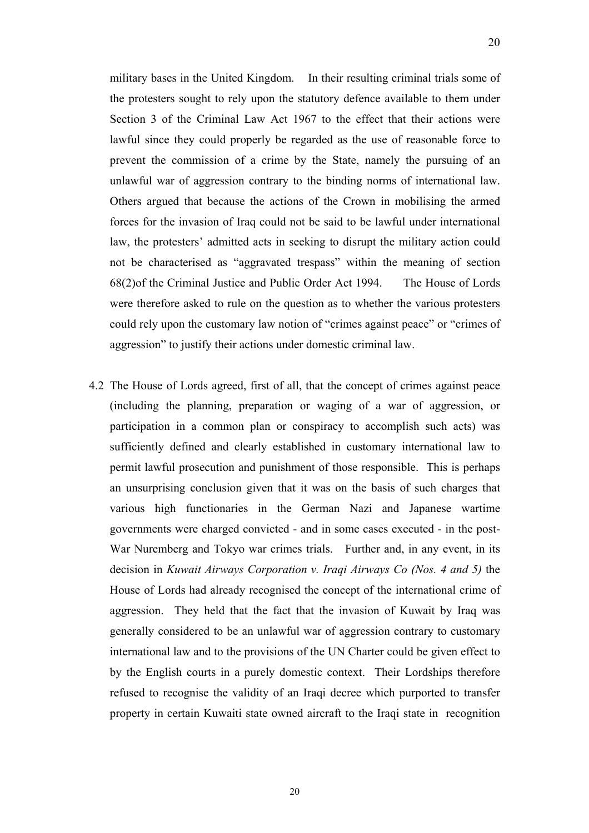military bases in the United Kingdom. In their resulting criminal trials some of the protesters sought to rely upon the statutory defence available to them under Section 3 of the Criminal Law Act 1967 to the effect that their actions were lawful since they could properly be regarded as the use of reasonable force to prevent the commission of a crime by the State, namely the pursuing of an unlawful war of aggression contrary to the binding norms of international law. Others argued that because the actions of the Crown in mobilising the armed forces for the invasion of Iraq could not be said to be lawful under international law, the protesters' admitted acts in seeking to disrupt the military action could not be characterised as "aggravated trespass" within the meaning of section 68(2)of the [Criminal Justice and Public Order](http://uk.westlaw.com/Find/Default.wl?rs=WLUK1.0&vr=2.0&DB=121177&FindType=Y&SerialNum=0111111704) Act 1994. The House of Lords were therefore asked to rule on the question as to whether the various protesters could rely upon the customary law notion of "crimes against peace" or "crimes of aggression" to justify their actions under domestic criminal law.

4.2 The House of Lords agreed, first of all, that the concept of crimes against peace (including the planning, preparation or waging of a war of aggression, or participation in a common plan or conspiracy to accomplish such acts) was sufficiently defined and clearly established in customary international law to permit lawful prosecution and punishment of those responsible. This is perhaps an unsurprising conclusion given that it was on the basis of such charges that various high functionaries in the German Nazi and Japanese wartime governments were charged convicted - and in some cases executed - in the post-War Nuremberg and Tokyo war crimes trials. Further and, in any event, in its decision in *Kuwait Airways Corporation v. Iraqi Airways Co (Nos. 4 and 5)* the House of Lords had already recognised the concept of the international crime of aggression. They held that the fact that the invasion of Kuwait by Iraq was generally considered to be an unlawful war of aggression contrary to customary international law and to the provisions of the UN Charter could be given effect to by the English courts in a purely domestic context. Their Lordships therefore refused to recognise the validity of an Iraqi decree which purported to transfer property in certain Kuwaiti state owned aircraft to the Iraqi state in recognition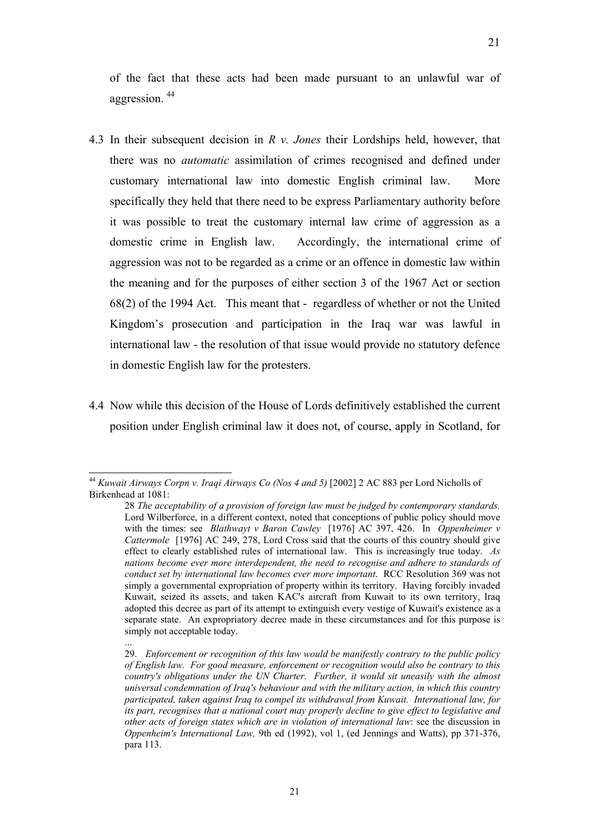- 4.3 In their subsequent decision in *R v. Jones* their Lordships held, however, that there was no *automatic* assimilation of crimes recognised and defined under customary international law into domestic English criminal law. More specifically they held that there need to be express Parliamentary authority before it was possible to treat the customary internal law crime of aggression as a domestic crime in English law. Accordingly, the international crime of aggression was not to be regarded as a crime or an offence in domestic law within the meaning and for the purposes of either section 3 of the 1967 Act or section 68(2) of the 1994 Act. This meant that - regardless of whether or not the United Kingdom's prosecution and participation in the Iraq war was lawful in international law - the resolution of that issue would provide no statutory defence in domestic English law for the protesters.
- 4.4 Now while this decision of the House of Lords definitively established the current position under English criminal law it does not, of course, apply in Scotland, for

...

<span id="page-20-0"></span> <sup>44</sup> *Kuwait Airways Corpn v. Iraqi Airways Co (Nos 4 and 5)* [2002] 2 AC 883 per Lord Nicholls of Birkenhead at 1081:

<sup>28</sup> *The acceptability of a provision of foreign law must be judged by contemporary standards.* Lord Wilberforce, in a different context, noted that conceptions of public policy should move with the times: see *Blathwayt v Baron Cawley* [1976] AC 397, 426. In *Oppenheimer v Cattermole* [1976] AC 249, 278, Lord Cross said that the courts of this country should give effect to clearly established rules of international law. This is increasingly true today. *As nations become ever more interdependent, the need to recognise and adhere to standards of conduct set by international law becomes ever more important*. RCC Resolution 369 was not simply a governmental expropriation of property within its territory. Having forcibly invaded Kuwait, seized its assets, and taken KAC's aircraft from Kuwait to its own territory, Iraq adopted this decree as part of its attempt to extinguish every vestige of Kuwait's existence as a separate state. An expropriatory decree made in these circumstances and for this purpose is simply not acceptable today.

<sup>29.</sup> *Enforcement or recognition of this law would be manifestly contrary to the public policy of English law. For good measure, enforcement or recognition would also be contrary to this country's obligations under the UN Charter. Further, it would sit uneasily with the almost universal condemnation of Iraq's behaviour and with the military action, in which this country participated, taken against Iraq to compel its withdrawal from Kuwait. International law, for its part, recognises that a national court may properly decline to give effect to legislative and other acts of foreign states which are in violation of international law*: see the discussion in *Oppenheim's International Law,* 9th ed (1992), vol 1, (ed Jennings and Watts), pp 371-376, para 113.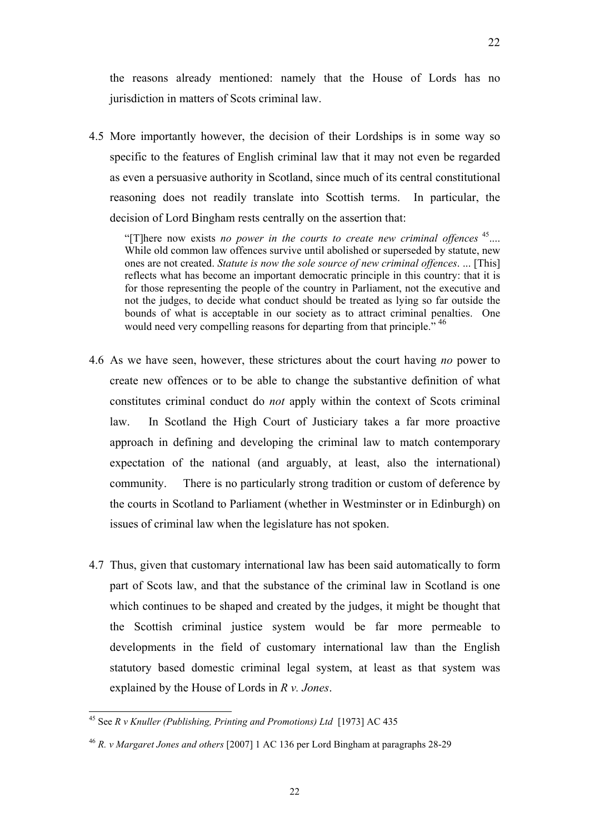the reasons already mentioned: namely that the House of Lords has no jurisdiction in matters of Scots criminal law.

4.5 More importantly however, the decision of their Lordships is in some way so specific to the features of English criminal law that it may not even be regarded as even a persuasive authority in Scotland, since much of its central constitutional reasoning does not readily translate into Scottish terms. In particular, the decision of Lord Bingham rests centrally on the assertion that:

"[T]here now exists *no power in the courts to create new criminal offences* [45.](#page-21-0)... While old common law offences survive until abolished or superseded by statute, new ones are not created. *Statute is now the sole source of new criminal offences*. ... [This] reflects what has become an important democratic principle in this country: that it is for those representing the people of the country in Parliament, not the executive and not the judges, to decide what conduct should be treated as lying so far outside the bounds of what is acceptable in our society as to attract criminal penalties. One would need very compelling reasons for departing from that principle." <sup>[46](#page-21-1)</sup>

- 4.6 As we have seen, however, these strictures about the court having *no* power to create new offences or to be able to change the substantive definition of what constitutes criminal conduct do *not* apply within the context of Scots criminal law. In Scotland the High Court of Justiciary takes a far more proactive approach in defining and developing the criminal law to match contemporary expectation of the national (and arguably, at least, also the international) community. There is no particularly strong tradition or custom of deference by the courts in Scotland to Parliament (whether in Westminster or in Edinburgh) on issues of criminal law when the legislature has not spoken.
- 4.7 Thus, given that customary international law has been said automatically to form part of Scots law, and that the substance of the criminal law in Scotland is one which continues to be shaped and created by the judges, it might be thought that the Scottish criminal justice system would be far more permeable to developments in the field of customary international law than the English statutory based domestic criminal legal system, at least as that system was explained by the House of Lords in *R v. Jones*.

<span id="page-21-0"></span> <sup>45</sup> See *R v Knuller (Publishing, Printing and Promotions) Ltd* [1973] AC 435

<span id="page-21-1"></span><sup>46</sup> *R. v Margaret Jones and others* [2007] 1 AC 136 per Lord Bingham at paragraphs 28-29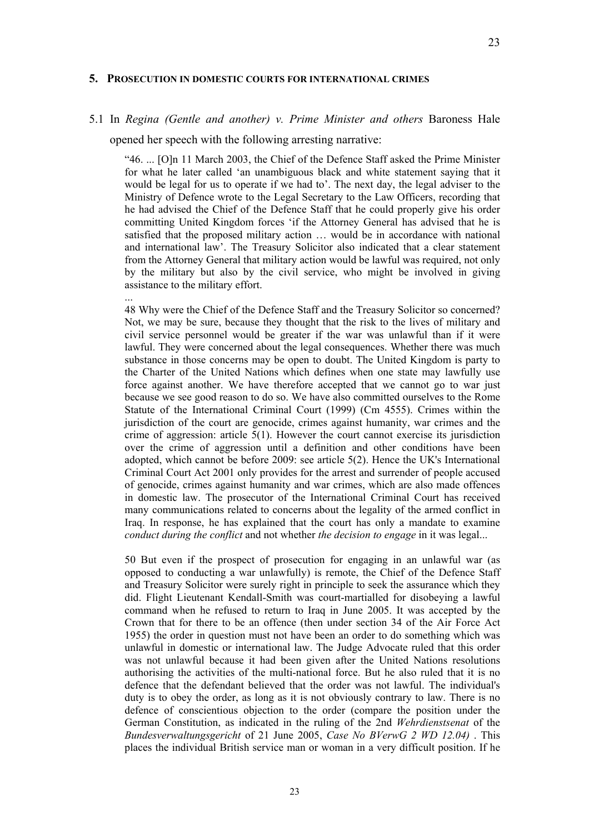#### **5. PROSECUTION IN DOMESTIC COURTS FOR INTERNATIONAL CRIMES**

## 5.1 In *Regina (Gentle and another) v. Prime Minister and others* Baroness Hale

opened her speech with the following arresting narrative:

...

"46. ... [O]n 11 March 2003, the Chief of the Defence Staff asked the Prime Minister for what he later called 'an unambiguous black and white statement saying that it would be legal for us to operate if we had to'. The next day, the legal adviser to the Ministry of Defence wrote to the Legal Secretary to the Law Officers, recording that he had advised the Chief of the Defence Staff that he could properly give his order committing United Kingdom forces 'if the Attorney General has advised that he is satisfied that the proposed military action … would be in accordance with national and international law'. The Treasury Solicitor also indicated that a clear statement from the Attorney General that military action would be lawful was required, not only by the military but also by the civil service, who might be involved in giving assistance to the military effort.

48 Why were the Chief of the Defence Staff and the Treasury Solicitor so concerned? Not, we may be sure, because they thought that the risk to the lives of military and civil service personnel would be greater if the war was unlawful than if it were lawful. They were concerned about the legal consequences. Whether there was much substance in those concerns may be open to doubt. The United Kingdom is party to the Charter of the United Nations which defines when one state may lawfully use force against another. We have therefore accepted that we cannot go to war just because we see good reason to do so. We have also committed ourselves to the Rome Statute of the International Criminal Court (1999) (Cm 4555). Crimes within the jurisdiction of the court are genocide, crimes against humanity, war crimes and the crime of aggression: article 5(1). However the court cannot exercise its jurisdiction over the crime of aggression until a definition and other conditions have been adopted, which cannot be before 2009: see article 5(2). Hence the UK's International Criminal Court Act 2001 only provides for the arrest and surrender of people accused of genocide, crimes against humanity and war crimes, which are also made offences in domestic law. The prosecutor of the International Criminal Court has received many communications related to concerns about the legality of the armed conflict in Iraq. In response, he has explained that the court has only a mandate to examine *conduct during the conflict* and not whether *the decision to engage* in it was legal...

50 But even if the prospect of prosecution for engaging in an unlawful war (as opposed to conducting a war unlawfully) is remote, the Chief of the Defence Staff and Treasury Solicitor were surely right in principle to seek the assurance which they did. Flight Lieutenant Kendall-Smith was court-martialled for disobeying a lawful command when he refused to return to Iraq in June 2005. It was accepted by the Crown that for there to be an offence (then under section 34 of the Air Force Act 1955) the order in question must not have been an order to do something which was unlawful in domestic or international law. The Judge Advocate ruled that this order was not unlawful because it had been given after the United Nations resolutions authorising the activities of the multi-national force. But he also ruled that it is no defence that the defendant believed that the order was not lawful. The individual's duty is to obey the order, as long as it is not obviously contrary to law. There is no defence of conscientious objection to the order (compare the position under the German Constitution, as indicated in the ruling of the 2nd *Wehrdienstsenat* of the *Bundesverwaltungsgericht* of 21 June 2005, *Case No BVerwG 2 WD 12.04)* . This places the individual British service man or woman in a very difficult position. If he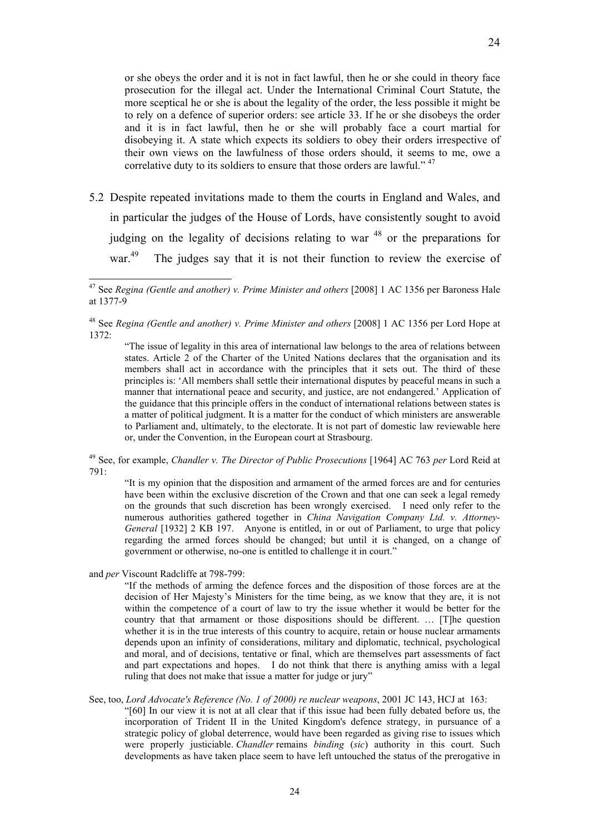<span id="page-23-2"></span>or she obeys the order and it is not in fact lawful, then he or she could in theory face prosecution for the illegal act. Under the International Criminal Court Statute, the more sceptical he or she is about the legality of the order, the less possible it might be to rely on a defence of superior orders: see article 33. If he or she disobeys the order and it is in fact lawful, then he or she will probably face a court martial for disobeying it. A state which expects its soldiers to obey their orders irrespective of their own views on the lawfulness of those orders should, it seems to me, owe a correlative duty to its soldiers to ensure that those orders are lawful."<sup>[47](#page-23-0)</sup>

5.2 Despite repeated invitations made to them the courts in England and Wales, and in particular the judges of the House of Lords, have consistently sought to avoid judging on the legality of decisions relating to war  $48$  or the preparations for war.<sup>49</sup> The judges say that it is not their function to review the exercise of

49 See, for example, *Chandler v. The Director of Public Prosecutions* [1964] AC 763 *per* Lord Reid at 791:

"It is my opinion that the disposition and armament of the armed forces are and for centuries have been within the exclusive discretion of the Crown and that one can seek a legal remedy on the grounds that such discretion has been wrongly exercised. I need only refer to the numerous authorities gathered together in *China Navigation Company Ltd. v. Attorney-General* [1932] 2 KB 197. Anyone is entitled, in or out of Parliament, to urge that policy regarding the armed forces should be changed; but until it is changed, on a change of government or otherwise, no-one is entitled to challenge it in court."

and *per* Viscount Radcliffe at 798-799:

"If the methods of arming the defence forces and the disposition of those forces are at the decision of Her Majesty's Ministers for the time being, as we know that they are, it is not within the competence of a court of law to try the issue whether it would be better for the country that that armament or those dispositions should be different. … [T]he question whether it is in the true interests of this country to acquire, retain or house nuclear armaments depends upon an infinity of considerations, military and diplomatic, technical, psychological and moral, and of decisions, tentative or final, which are themselves part assessments of fact and part expectations and hopes. I do not think that there is anything amiss with a legal ruling that does not make that issue a matter for judge or jury"

See, too, *Lord Advocate's Reference (No. 1 of 2000) re nuclear weapons*, 2001 JC 143, HCJ at 163: "[60] In our view it is not at all clear that if this issue had been fully debated before us, the incorporation of Trident II in the United Kingdom's defence strategy, in pursuance of a strategic policy of global deterrence, would have been regarded as giving rise to issues which were properly justiciable. *Chandler* remains *binding* (*sic*) authority in this court. Such developments as have taken place seem to have left untouched the status of the prerogative in

<span id="page-23-0"></span> <sup>47</sup> See *Regina (Gentle and another) v. Prime Minister and others* [2008] 1 AC 1356 per Baroness Hale at 1377-9

<span id="page-23-1"></span><sup>48</sup> See *Regina (Gentle and another) v. Prime Minister and others* [2008] 1 AC 1356 per Lord Hope at  $1372$ 

<sup>&</sup>quot;The issue of legality in this area of international law belongs to the area of relations between states. Article 2 of the Charter of the United Nations declares that the organisation and its members shall act in accordance with the principles that it sets out. The third of these principles is: 'All members shall settle their international disputes by peaceful means in such a manner that international peace and security, and justice, are not endangered.' Application of the guidance that this principle offers in the conduct of international relations between states is a matter of political judgment. It is a matter for the conduct of which ministers are answerable to Parliament and, ultimately, to the electorate. It is not part of domestic law reviewable here or, under the Convention, in the European court at Strasbourg.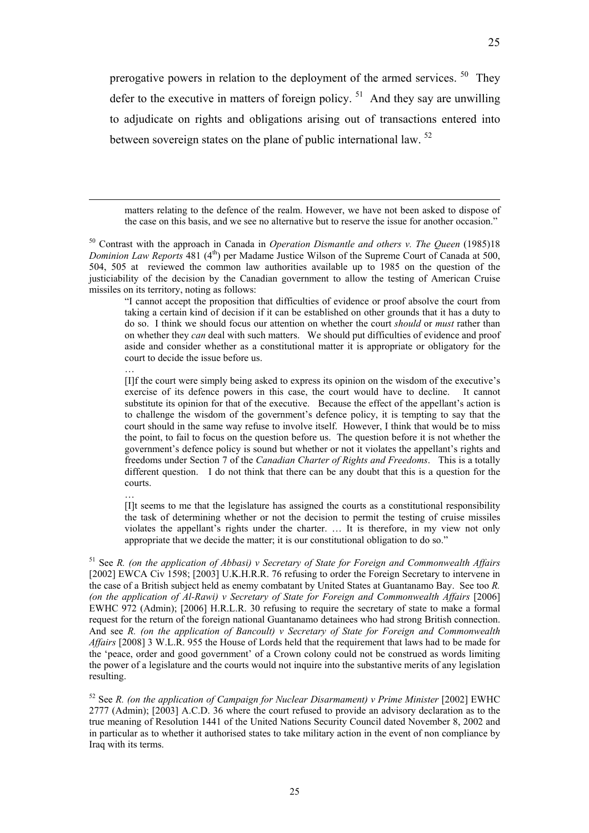prerogative powers in relation to the deployment of the armed services. <sup>50</sup> They defer to the executive in matters of foreign policy.  $51$  And they say are unwilling to adjudicate on rights and obligations arising out of transactions entered into between sovereign states on the plane of public international law. [52](#page-24-2)

matters relating to the defence of the realm. However, we have not been asked to dispose of the case on this basis, and we see no alternative but to reserve the issue for another occasion."

<span id="page-24-0"></span>50 Contrast with the approach in Canada in *Operation Dismantle and others v. The Queen* (1985)18 *Dominion Law Reports* 481 (4<sup>th</sup>) per Madame Justice Wilson of the Supreme Court of Canada at 500, 504, 505 at reviewed the common law authorities available up to 1985 on the question of the justiciability of the decision by the Canadian government to allow the testing of American Cruise missiles on its territory, noting as follows:

 $\overline{a}$ 

…

…

"I cannot accept the proposition that difficulties of evidence or proof absolve the court from taking a certain kind of decision if it can be established on other grounds that it has a duty to do so. I think we should focus our attention on whether the court *should* or *must* rather than on whether they *can* deal with such matters. We should put difficulties of evidence and proof aside and consider whether as a constitutional matter it is appropriate or obligatory for the court to decide the issue before us.

[I]f the court were simply being asked to express its opinion on the wisdom of the executive's exercise of its defence powers in this case, the court would have to decline. It cannot substitute its opinion for that of the executive. Because the effect of the appellant's action is to challenge the wisdom of the government's defence policy, it is tempting to say that the court should in the same way refuse to involve itself. However, I think that would be to miss the point, to fail to focus on the question before us. The question before it is not whether the government's defence policy is sound but whether or not it violates the appellant's rights and freedoms under Section 7 of the *Canadian Charter of Rights and Freedoms*. This is a totally different question. I do not think that there can be any doubt that this is a question for the courts.

[I]t seems to me that the legislature has assigned the courts as a constitutional responsibility the task of determining whether or not the decision to permit the testing of cruise missiles violates the appellant's rights under the charter. … It is therefore, in my view not only appropriate that we decide the matter; it is our constitutional obligation to do so."

<span id="page-24-1"></span>51 See *R. (on the application of Abbasi) v Secretary of State for Foreign and Commonwealth Affairs*  [2002] EWCA Civ 1598; [2003] U.K.H.R.R. 76 refusing to order the Foreign Secretary to intervene in the case of a British subject held as enemy combatant by United States at Guantanamo Bay. See too *R. (on the application of Al-Rawi) v Secretary of State for Foreign and Commonwealth Affairs* [2006] EWHC 972 (Admin); [2006] [H.R.L.R.](http://uk.westlaw.com/Find/Default.wl?rs=WLUK1.0&vr=2.0&DB=5448&FindType=g&SerialNum=2009172813) 30 refusing to require the secretary of state to make a formal request for the return of the foreign national Guantanamo detainees who had strong British connection. And see *R. (on the application of Bancoult) v Secretary of State for Foreign and Commonwealth Affairs* [2008] 3 W.L.R. 955 the House of Lords held that the requirement that laws had to be made for the 'peace, order and good government' of a Crown colony could not be construed as words limiting the power of a legislature and the courts would not inquire into the substantive merits of any legislation resulting.

<span id="page-24-2"></span><sup>52</sup> See *R. (on the application of Campaign for Nuclear Disarmament) v Prime Minister* [2002] EWHC 2777 (Admin); [2003] A.C.D. 36 where the court refused to provide an advisory declaration as to the true meaning of Resolution 1441 of the United Nations Security Council dated November 8, 2002 and in particular as to whether it authorised states to take military action in the event of non compliance by Iraq with its terms.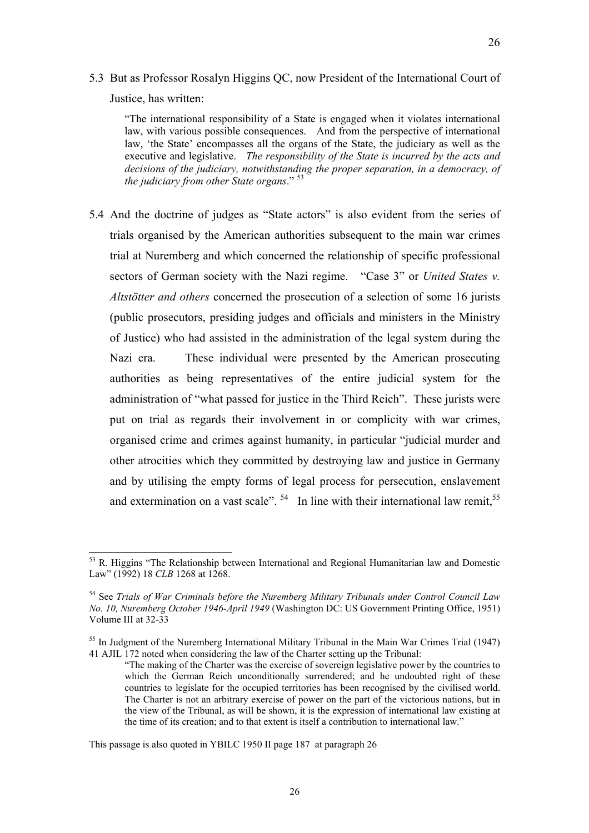# 5.3 But as Professor Rosalyn Higgins QC, now President of the International Court of Justice, has written:

"The international responsibility of a State is engaged when it violates international law, with various possible consequences. And from the perspective of international law, 'the State' encompasses all the organs of the State, the judiciary as well as the executive and legislative. *The responsibility of the State is incurred by the acts and decisions of the judiciary, notwithstanding the proper separation, in a democracy, of the judiciary from other State organs*." [53](#page-25-0)

5.4 And the doctrine of judges as "State actors" is also evident from the series of trials organised by the American authorities subsequent to the main war crimes trial at Nuremberg and which concerned the relationship of specific professional sectors of German society with the Nazi regime. "Case 3" or *United States v. Altstötter and others* concerned the prosecution of a selection of some 16 jurists (public prosecutors, presiding judges and officials and ministers in the Ministry of Justice) who had assisted in the administration of the legal system during the Nazi era. These individual were presented by the American prosecuting authorities as being representatives of the entire judicial system for the administration of "what passed for justice in the Third Reich". These jurists were put on trial as regards their involvement in or complicity with war crimes, organised crime and crimes against humanity, in particular "judicial murder and other atrocities which they committed by destroying law and justice in Germany and by utilising the empty forms of legal process for persecution, enslavement and extermination on a vast scale".  $54$  In line with their international law remit,  $55$ 

<span id="page-25-0"></span><sup>&</sup>lt;sup>53</sup> R. Higgins "The Relationship between International and Regional Humanitarian law and Domestic Law" (1992) 18 *CLB* 1268 at 1268.

<span id="page-25-1"></span><sup>54</sup> See *Trials of War Criminals before the Nuremberg Military Tribunals under Control Council Law No. 10, Nuremberg October 1946-April 1949* (Washington DC: US Government Printing Office, 1951) Volume III at 32-33

<span id="page-25-2"></span><sup>&</sup>lt;sup>55</sup> In Judgment of the Nuremberg International Military Tribunal in the Main War Crimes Trial (1947) 41 AJIL 172 noted when considering the law of the Charter setting up the Tribunal:

<sup>&</sup>quot;The making of the Charter was the exercise of sovereign legislative power by the countries to which the German Reich unconditionally surrendered; and he undoubted right of these countries to legislate for the occupied territories has been recognised by the civilised world. The Charter is not an arbitrary exercise of power on the part of the victorious nations, but in the view of the Tribunal, as will be shown, it is the expression of international law existing at the time of its creation; and to that extent is itself a contribution to international law."

This passage is also quoted in YBILC 1950 II page 187 at paragraph 26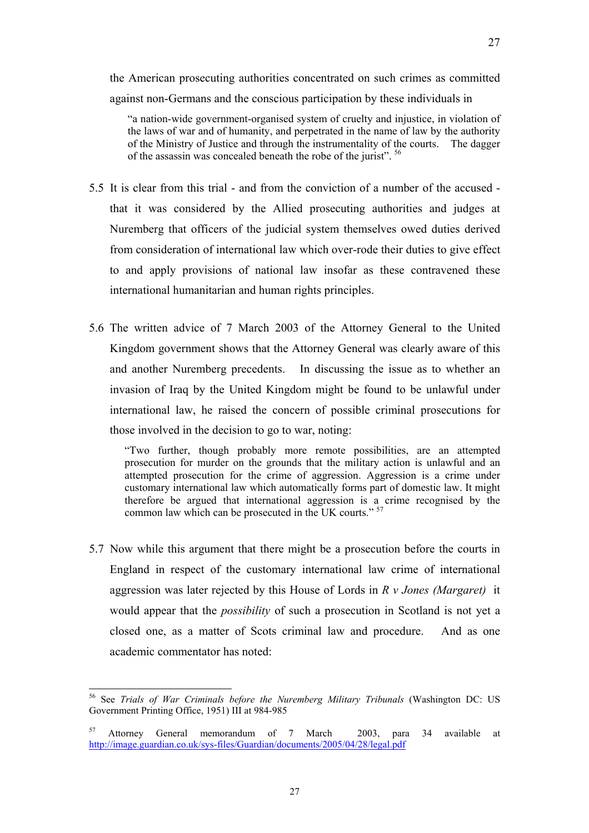"a nation-wide government-organised system of cruelty and injustice, in violation of the laws of war and of humanity, and perpetrated in the name of law by the authority of the Ministry of Justice and through the instrumentality of the courts. The dagger of the assassin was concealed beneath the robe of the jurist". [56](#page-26-0)

27

- 5.5 It is clear from this trial and from the conviction of a number of the accused that it was considered by the Allied prosecuting authorities and judges at Nuremberg that officers of the judicial system themselves owed duties derived from consideration of international law which over-rode their duties to give effect to and apply provisions of national law insofar as these contravened these international humanitarian and human rights principles.
- 5.6 The written advice of 7 March 2003 of the Attorney General to the United Kingdom government shows that the Attorney General was clearly aware of this and another Nuremberg precedents. In discussing the issue as to whether an invasion of Iraq by the United Kingdom might be found to be unlawful under international law, he raised the concern of possible criminal prosecutions for those involved in the decision to go to war, noting:

"Two further, though probably more remote possibilities, are an attempted prosecution for murder on the grounds that the military action is unlawful and an attempted prosecution for the crime of aggression. Aggression is a crime under customary international law which automatically forms part of domestic law. It might therefore be argued that international aggression is a crime recognised by the common law which can be prosecuted in the UK courts." [57](#page-26-1)

5.7 Now while this argument that there might be a prosecution before the courts in England in respect of the customary international law crime of international aggression was later rejected by this House of Lords in *R v Jones (Margaret)* it would appear that the *possibility* of such a prosecution in Scotland is not yet a closed one, as a matter of Scots criminal law and procedure. And as one academic commentator has noted:

27

<span id="page-26-0"></span> <sup>56</sup> See *Trials of War Criminals before the Nuremberg Military Tribunals* (Washington DC: US Government Printing Office, 1951) III at 984-985

<span id="page-26-1"></span><sup>57</sup> Attorney General memorandum of 7 March 2003, para 34 available at <http://image.guardian.co.uk/sys-files/Guardian/documents/2005/04/28/legal.pdf>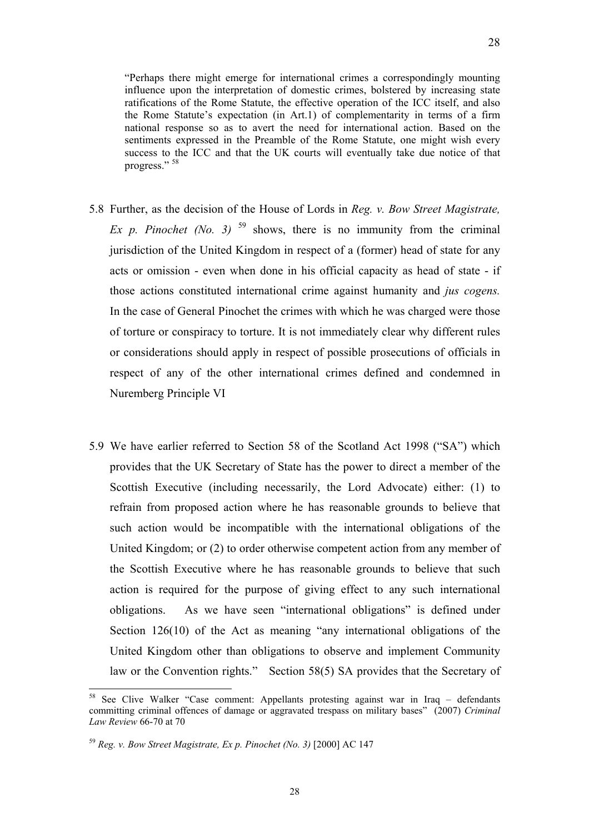"Perhaps there might emerge for international crimes a correspondingly mounting influence upon the interpretation of domestic crimes, bolstered by increasing state ratifications of the Rome Statute, the effective operation of the ICC itself, and also the Rome Statute's expectation (in Art.1) of complementarity in terms of a firm national response so as to avert the need for international action. Based on the sentiments expressed in the Preamble of the Rome Statute, one might wish every success to the ICC and that the UK courts will eventually take due notice of that progress." [58](#page-27-0)

- 5.8 Further, as the decision of the House of Lords in *Reg. v. Bow Street Magistrate, Ex p. Pinochet (No. 3)*  $^{59}$  shows, there is no immunity from the criminal jurisdiction of the United Kingdom in respect of a (former) head of state for any acts or omission - even when done in his official capacity as head of state - if those actions constituted international crime against humanity and *jus cogens.*  In the case of General Pinochet the crimes with which he was charged were those of torture or conspiracy to torture. It is not immediately clear why different rules or considerations should apply in respect of possible prosecutions of officials in respect of any of the other international crimes defined and condemned in Nuremberg Principle VI
- 5.9 We have earlier referred to Section 58 of the Scotland Act 1998 ("SA") which provides that the UK Secretary of State has the power to direct a member of the Scottish Executive (including necessarily, the Lord Advocate) either: (1) to refrain from proposed action where he has reasonable grounds to believe that such action would be incompatible with the international obligations of the United Kingdom; or (2) to order otherwise competent action from any member of the Scottish Executive where he has reasonable grounds to believe that such action is required for the purpose of giving effect to any such international obligations. As we have seen "international obligations" is defined under Section 126(10) of the Act as meaning "any international obligations of the United Kingdom other than obligations to observe and implement Community law or the Convention rights." Section 58(5) SA provides that the Secretary of

<span id="page-27-0"></span><sup>&</sup>lt;sup>58</sup> See Clive Walker "Case comment: Appellants protesting against war in Iraq – defendants committing criminal offences of damage or aggravated trespass on military bases" (2007) *Criminal Law Review* 66-70 at 70

<span id="page-27-1"></span><sup>59</sup> *Reg. v. Bow Street Magistrate, Ex p. Pinochet (No. 3)* [2000] AC 147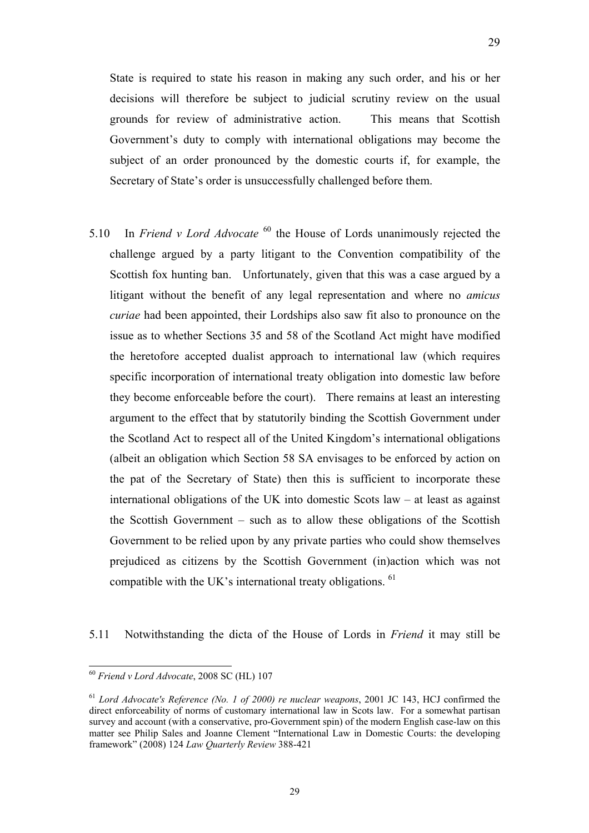State is required to state his reason in making any such order, and his or her decisions will therefore be subject to judicial scrutiny review on the usual grounds for review of administrative action. This means that Scottish Government's duty to comply with international obligations may become the subject of an order pronounced by the domestic courts if, for example, the Secretary of State's order is unsuccessfully challenged before them.

5.10 In *Friend v Lord Advocate* [60](#page-28-0) the House of Lords unanimously rejected the challenge argued by a party litigant to the Convention compatibility of the Scottish fox hunting ban. Unfortunately, given that this was a case argued by a litigant without the benefit of any legal representation and where no *amicus curiae* had been appointed, their Lordships also saw fit also to pronounce on the issue as to whether Sections 35 and 58 of the Scotland Act might have modified the heretofore accepted dualist approach to international law (which requires specific incorporation of international treaty obligation into domestic law before they become enforceable before the court). There remains at least an interesting argument to the effect that by statutorily binding the Scottish Government under the Scotland Act to respect all of the United Kingdom's international obligations (albeit an obligation which Section 58 SA envisages to be enforced by action on the pat of the Secretary of State) then this is sufficient to incorporate these international obligations of the UK into domestic Scots law – at least as against the Scottish Government – such as to allow these obligations of the Scottish Government to be relied upon by any private parties who could show themselves prejudiced as citizens by the Scottish Government (in)action which was not compatible with the UK's international treaty obligations. <sup>61</sup>

# 5.11 Notwithstanding the dicta of the House of Lords in *Friend* it may still be

<span id="page-28-0"></span> <sup>60</sup> *Friend v Lord Advocate*, [2008](http://uk.westlaw.com/Find/Default.wl?rs=WLUK1.0&vr=2.0&DB=4841&FindType=g&SerialNum=2014112266) SC (HL) <sup>107</sup>

<span id="page-28-1"></span><sup>61</sup> *Lord Advocate's Reference (No. 1 of 2000) re nuclear weapons*, 2001 JC 143, HCJ confirmed the direct enforceability of norms of customary international law in Scots law. For a somewhat partisan survey and account (with a conservative, pro-Government spin) of the modern English case-law on this matter see Philip Sales and Joanne Clement "International Law in Domestic Courts: the developing framework" (2008) 124 *Law Quarterly Review* 388-421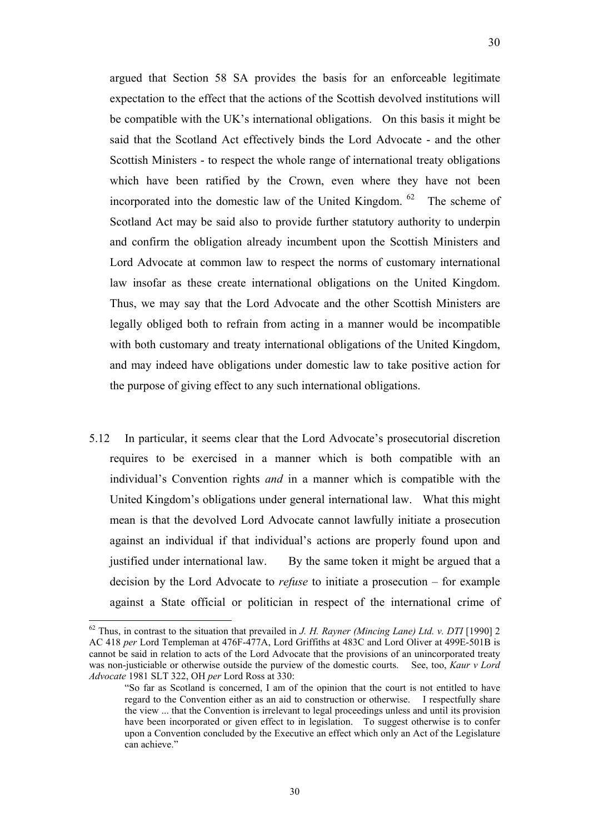argued that Section 58 SA provides the basis for an enforceable legitimate expectation to the effect that the actions of the Scottish devolved institutions will be compatible with the UK's international obligations. On this basis it might be said that the Scotland Act effectively binds the Lord Advocate - and the other Scottish Ministers - to respect the whole range of international treaty obligations which have been ratified by the Crown, even where they have not been incorporated into the domestic law of the United Kingdom.  $62$  The scheme of Scotland Act may be said also to provide further statutory authority to underpin and confirm the obligation already incumbent upon the Scottish Ministers and Lord Advocate at common law to respect the norms of customary international law insofar as these create international obligations on the United Kingdom. Thus, we may say that the Lord Advocate and the other Scottish Ministers are legally obliged both to refrain from acting in a manner would be incompatible with both customary and treaty international obligations of the United Kingdom, and may indeed have obligations under domestic law to take positive action for the purpose of giving effect to any such international obligations.

5.12 In particular, it seems clear that the Lord Advocate's prosecutorial discretion requires to be exercised in a manner which is both compatible with an individual's Convention rights *and* in a manner which is compatible with the United Kingdom's obligations under general international law. What this might mean is that the devolved Lord Advocate cannot lawfully initiate a prosecution against an individual if that individual's actions are properly found upon and justified under international law. By the same token it might be argued that a decision by the Lord Advocate to *refuse* to initiate a prosecution – for example against a State official or politician in respect of the international crime of

<span id="page-29-0"></span> <sup>62</sup> Thus, in contrast to the situation that prevailed in *J. H. Rayner (Mincing Lane) Ltd. v. DTI* [1990] 2 AC 418 *per* Lord Templeman at 476F-477A, Lord Griffiths at 483C and Lord Oliver at 499E-501B is cannot be said in relation to acts of the Lord Advocate that the provisions of an unincorporated treaty was non-justiciable or otherwise outside the purview of the domestic courts. See, too, *Kaur v Lord Advocate* 1981 SLT 322, OH *per* Lord Ross at 330:

<sup>&</sup>quot;So far as Scotland is concerned, I am of the opinion that the court is not entitled to have regard to the Convention either as an aid to construction or otherwise. I respectfully share the view ... that the Convention is irrelevant to legal proceedings unless and until its provision have been incorporated or given effect to in legislation. To suggest otherwise is to confer upon a Convention concluded by the Executive an effect which only an Act of the Legislature can achieve."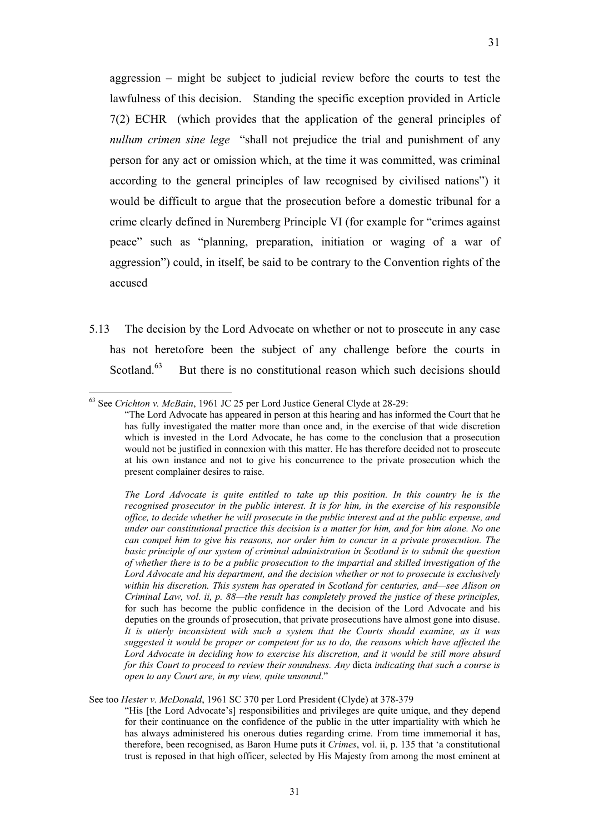<span id="page-30-0"></span>aggression – might be subject to judicial review before the courts to test the lawfulness of this decision. Standing the specific exception provided in Article 7(2) ECHR (which provides that the application of the general principles of *nullum crimen sine lege* "shall not prejudice the trial and punishment of any person for any act or omission which, at the time it was committed, was criminal according to the general principles of law recognised by civilised nations") it would be difficult to argue that the prosecution before a domestic tribunal for a crime clearly defined in Nuremberg Principle VI (for example for "crimes against peace" such as "planning, preparation, initiation or waging of a war of aggression") could, in itself, be said to be contrary to the Convention rights of the accused

5.13 The decision by the Lord Advocate on whether or not to prosecute in any case has not heretofore been the subject of any challenge before the courts in Scotland.<sup>63</sup> But there is no constitutional reason which such decisions should

See too *Hester v. McDonald*, 1961 SC 370 per Lord President (Clyde) at 378-379

 <sup>63</sup> See *Crichton v. McBain*, 1961 JC 25 per Lord Justice General Clyde at 28-29:

<sup>&</sup>quot;The Lord Advocate has appeared in person at this hearing and has informed the Court that he has fully investigated the matter more than once and, in the exercise of that wide discretion which is invested in the Lord Advocate, he has come to the conclusion that a prosecution would not be justified in connexion with this matter. He has therefore decided not to prosecute at his own instance and not to give his concurrence to the private prosecution which the present complainer desires to raise.

*The Lord Advocate is quite entitled to take up this position. In this country he is the recognised prosecutor in the public interest. It is for him, in the exercise of his responsible office, to decide whether he will prosecute in the public interest and at the public expense, and under our constitutional practice this decision is a matter for him, and for him alone. No one can compel him to give his reasons, nor order him to concur in a private prosecution. The basic principle of our system of criminal administration in Scotland is to submit the question of whether there is to be a public prosecution to the impartial and skilled investigation of the Lord Advocate and his department, and the decision whether or not to prosecute is exclusively within his discretion. This system has operated in Scotland for centuries, and—see Alison on Criminal Law, vol. ii, p. 88—the result has completely proved the justice of these principles,*  for such has become the public confidence in the decision of the Lord Advocate and his deputies on the grounds of prosecution, that private prosecutions have almost gone into disuse. *It is utterly inconsistent with such a system that the Courts should examine, as it was suggested it would be proper or competent for us to do, the reasons which have affected the*  Lord Advocate in deciding how to exercise his discretion, and it would be still more absurd *for this Court to proceed to review their soundness. Any* dicta *indicating that such a course is open to any Court are, in my view, quite unsound*."

<sup>&</sup>quot;His [the Lord Advocate's] responsibilities and privileges are quite unique, and they depend for their continuance on the confidence of the public in the utter impartiality with which he has always administered his onerous duties regarding crime. From time immemorial it has, therefore, been recognised, as Baron Hume puts it *Crimes*, vol. ii, p. 135 that 'a constitutional trust is reposed in that high officer, selected by His Majesty from among the most eminent at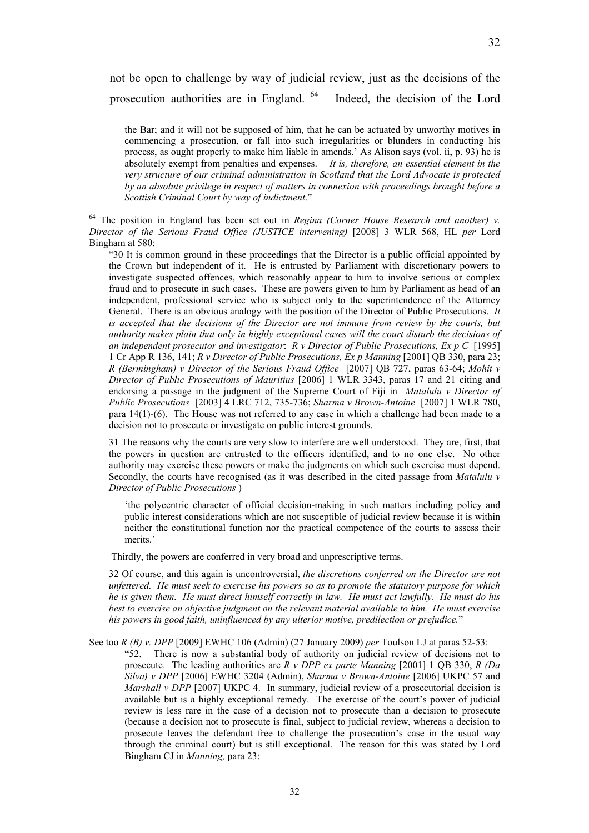<span id="page-31-0"></span>not be open to challenge by way of judicial review, just as the decisions of the prosecution authorities are in England. [64](#page-31-0) Indeed, the decision of the Lord

 $\overline{a}$ 

the Bar; and it will not be supposed of him, that he can be actuated by unworthy motives in commencing a prosecution, or fall into such irregularities or blunders in conducting his process, as ought properly to make him liable in amends.' As Alison says (vol. ii, p. 93) he is absolutely exempt from penalties and expenses. *It is, therefore, an essential element in the very structure of our criminal administration in Scotland that the Lord Advocate is protected by an absolute privilege in respect of matters in connexion with proceedings brought before a Scottish Criminal Court by way of indictment*."

64 The position in England has been set out in *Regina (Corner House Research and another) v. Director of the Serious Fraud Office (JUSTICE intervening)* [2008] 3 WLR 568, HL *per* Lord Bingham at 580:

"30 It is common ground in these proceedings that the Director is a public official appointed by the Crown but independent of it. He is entrusted by Parliament with discretionary powers to investigate suspected offences, which reasonably appear to him to involve serious or complex fraud and to prosecute in such cases. These are powers given to him by Parliament as head of an independent, professional service who is subject only to the superintendence of the Attorney General. There is an obvious analogy with the position of the Director of Public Prosecutions. *It is accepted that the decisions of the Director are not immune from review by the courts, but authority makes plain that only in highly exceptional cases will the court disturb the decisions of an independent prosecutor and investigator*: *R v Director of Public Prosecutions, Ex p C* [1995] 1 Cr App R 136, 141; *R v Director of Public Prosecutions, Ex p Manning* [2001] QB 330, para 23; *R (Bermingham) v Director of the Serious Fraud Office* [2007] QB 727, paras 63-64; *Mohit v Director of Public Prosecutions of Mauritius* [2006] 1 WLR 3343, paras 17 and 21 citing and endorsing a passage in the judgment of the Supreme Court of Fiji in *Matalulu v Director of Public Prosecutions* [2003] 4 LRC 712, 735-736; *Sharma v Brown-Antoine* [2007] 1 WLR 780, para 14(1)-(6). The House was not referred to any case in which a challenge had been made to a decision not to prosecute or investigate on public interest grounds.

31 The reasons why the courts are very slow to interfere are well understood. They are, first, that the powers in question are entrusted to the officers identified, and to no one else. No other authority may exercise these powers or make the judgments on which such exercise must depend. Secondly, the courts have recognised (as it was described in the cited passage from *Matalulu v Director of Public Prosecutions* )

'the polycentric character of official decision-making in such matters including policy and public interest considerations which are not susceptible of judicial review because it is within neither the constitutional function nor the practical competence of the courts to assess their merits.'

Thirdly, the powers are conferred in very broad and unprescriptive terms.

32 Of course, and this again is uncontroversial, *the discretions conferred on the Director are not unfettered. He must seek to exercise his powers so as to promote the statutory purpose for which he is given them. He must direct himself correctly in law. He must act lawfully. He must do his best to exercise an objective judgment on the relevant material available to him. He must exercise his powers in good faith, uninfluenced by any ulterior motive, predilection or prejudice.*"

See too *R (B) v. DPP* [2009] EWHC 106 (Admin) (27 January 2009) *per* Toulson LJ at paras 52-53:

"52. There is now a substantial body of authority on judicial review of decisions not to prosecute. The leading authorities are *R v DPP ex parte Manning* [2001] 1 QB 330, *R (Da Silva) v DPP* [2006] EWHC 3204 (Admin), *Sharma v Brown-Antoine* [2006] UKPC 57 and *Marshall v DPP* [2007] UKPC 4. In summary, judicial review of a prosecutorial decision is available but is a highly exceptional remedy. The exercise of the court's power of judicial review is less rare in the case of a decision not to prosecute than a decision to prosecute (because a decision not to prosecute is final, subject to judicial review, whereas a decision to prosecute leaves the defendant free to challenge the prosecution's case in the usual way through the criminal court) but is still exceptional. The reason for this was stated by Lord Bingham CJ in *Manning,* para 23:

32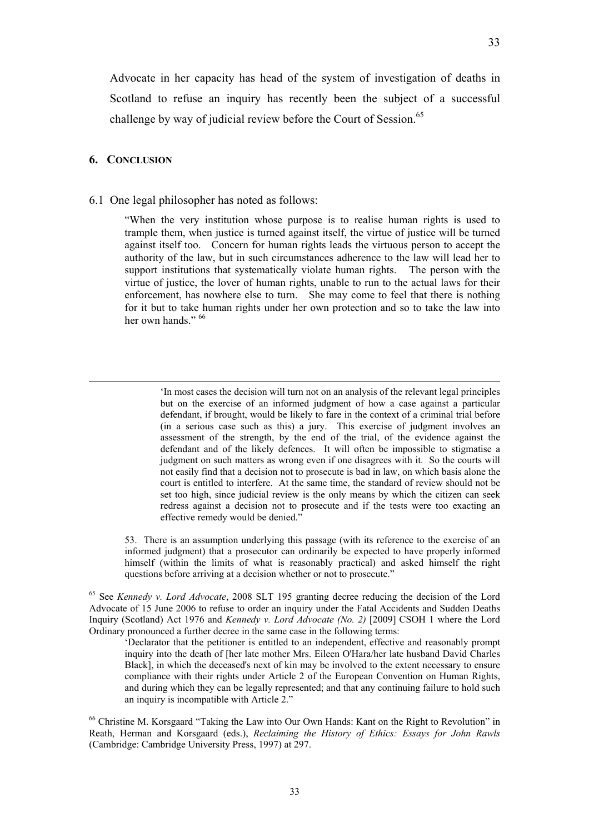Advocate in her capacity has head of the system of investigation of deaths in Scotland to refuse an inquiry has recently been the subject of a successful challenge by way of judicial review before the Court of Session.<sup>65</sup>

# **6. CONCLUSION**

 $\overline{a}$ 

## 6.1 One legal philosopher has noted as follows:

"When the very institution whose purpose is to realise human rights is used to trample them, when justice is turned against itself, the virtue of justice will be turned against itself too. Concern for human rights leads the virtuous person to accept the authority of the law, but in such circumstances adherence to the law will lead her to support institutions that systematically violate human rights. The person with the virtue of justice, the lover of human rights, unable to run to the actual laws for their enforcement, has nowhere else to turn. She may come to feel that there is nothing for it but to take human rights under her own protection and so to take the law into her own hands." <sup>[66](#page-32-1)</sup>

'In most cases the decision will turn not on an analysis of the relevant legal principles but on the exercise of an informed judgment of how a case against a particular defendant, if brought, would be likely to fare in the context of a criminal trial before (in a serious case such as this) a jury. This exercise of judgment involves an assessment of the strength, by the end of the trial, of the evidence against the defendant and of the likely defences. It will often be impossible to stigmatise a judgment on such matters as wrong even if one disagrees with it. So the courts will not easily find that a decision not to prosecute is bad in law, on which basis alone the court is entitled to interfere. At the same time, the standard of review should not be set too high, since judicial review is the only means by which the citizen can seek redress against a decision not to prosecute and if the tests were too exacting an effective remedy would be denied."

53. There is an assumption underlying this passage (with its reference to the exercise of an informed judgment) that a prosecutor can ordinarily be expected to have properly informed himself (within the limits of what is reasonably practical) and asked himself the right questions before arriving at a decision whether or not to prosecute."

<span id="page-32-0"></span>65 See *Kennedy v. Lord Advocate*, 2008 SLT 195 granting decree reducing the decision of the Lord Advocate of 15 June 2006 to refuse to order an inquiry under the Fatal Accidents and Sudden Deaths Inquiry (Scotland) Act 1976 and *Kennedy v. Lord Advocate (No. 2)* [2009] CSOH 1 where the Lord Ordinary pronounced a further decree in the same case in the following terms:

'Declarator that the petitioner is entitled to an independent, effective and reasonably prompt inquiry into the death of [her late mother Mrs. Eileen O'Hara/her late husband David Charles Black], in which the deceased's next of kin may be involved to the extent necessary to ensure compliance with their rights under Article 2 of the European Convention on Human Rights, and during which they can be legally represented; and that any continuing failure to hold such an inquiry is incompatible with Article 2."

<span id="page-32-1"></span>66 Christine M. Korsgaard "Taking the Law into Our Own Hands: Kant on the Right to Revolution" in Reath, Herman and Korsgaard (eds.), *Reclaiming the History of Ethics: Essays for John Rawls* (Cambridge: Cambridge University Press, 1997) at 297.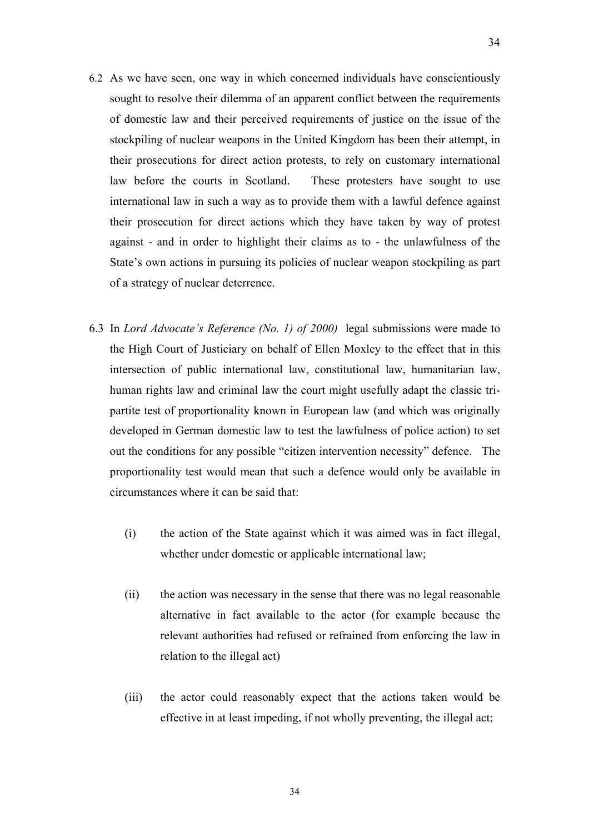- 6.2 As we have seen, one way in which concerned individuals have conscientiously sought to resolve their dilemma of an apparent conflict between the requirements of domestic law and their perceived requirements of justice on the issue of the stockpiling of nuclear weapons in the United Kingdom has been their attempt, in their prosecutions for direct action protests, to rely on customary international law before the courts in Scotland. These protesters have sought to use international law in such a way as to provide them with a lawful defence against their prosecution for direct actions which they have taken by way of protest against - and in order to highlight their claims as to - the unlawfulness of the State's own actions in pursuing its policies of nuclear weapon stockpiling as part of a strategy of nuclear deterrence.
- 6.3 In *Lord Advocate's Reference (No. 1) of 2000)* legal submissions were made to the High Court of Justiciary on behalf of Ellen Moxley to the effect that in this intersection of public international law, constitutional law, humanitarian law, human rights law and criminal law the court might usefully adapt the classic tripartite test of proportionality known in European law (and which was originally developed in German domestic law to test the lawfulness of police action) to set out the conditions for any possible "citizen intervention necessity" defence. The proportionality test would mean that such a defence would only be available in circumstances where it can be said that:
	- (i) the action of the State against which it was aimed was in fact illegal, whether under domestic or applicable international law;
	- (ii) the action was necessary in the sense that there was no legal reasonable alternative in fact available to the actor (for example because the relevant authorities had refused or refrained from enforcing the law in relation to the illegal act)
	- (iii) the actor could reasonably expect that the actions taken would be effective in at least impeding, if not wholly preventing, the illegal act;

34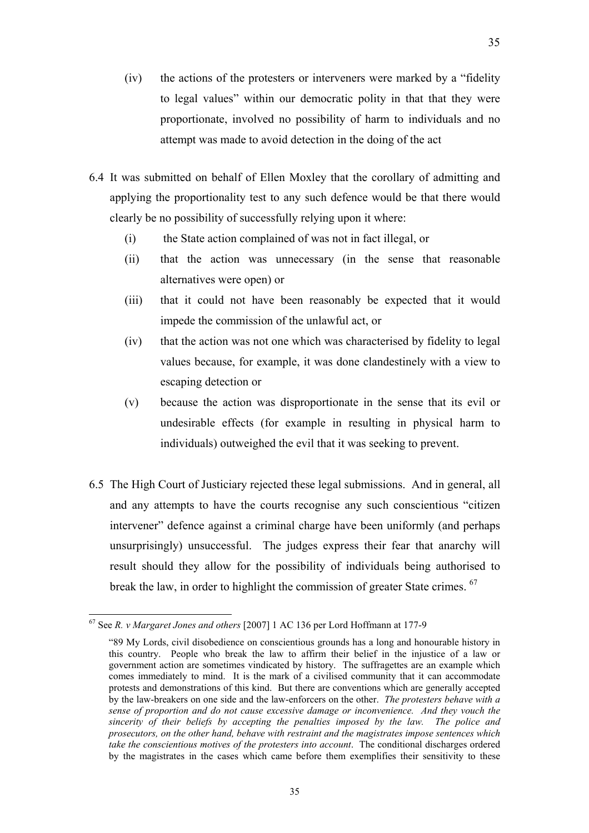- <span id="page-34-0"></span>(iv) the actions of the protesters or interveners were marked by a "fidelity to legal values" within our democratic polity in that that they were proportionate, involved no possibility of harm to individuals and no attempt was made to avoid detection in the doing of the act
- 6.4 It was submitted on behalf of Ellen Moxley that the corollary of admitting and applying the proportionality test to any such defence would be that there would clearly be no possibility of successfully relying upon it where:
	- (i) the State action complained of was not in fact illegal, or
	- (ii) that the action was unnecessary (in the sense that reasonable alternatives were open) or
	- (iii) that it could not have been reasonably be expected that it would impede the commission of the unlawful act, or
	- (iv) that the action was not one which was characterised by fidelity to legal values because, for example, it was done clandestinely with a view to escaping detection or
	- (v) because the action was disproportionate in the sense that its evil or undesirable effects (for example in resulting in physical harm to individuals) outweighed the evil that it was seeking to prevent.
- 6.5 The High Court of Justiciary rejected these legal submissions. And in general, all and any attempts to have the courts recognise any such conscientious "citizen intervener" defence against a criminal charge have been uniformly (and perhaps unsurprisingly) unsuccessful. The judges express their fear that anarchy will result should they allow for the possibility of individuals being authorised to break the law, in order to highlight the commission of greater State crimes. <sup>67</sup>

 <sup>67</sup> See *R. v Margaret Jones and others* [2007] 1 AC 136 per Lord Hoffmann at 177-9

<sup>&</sup>quot;89 My Lords, civil disobedience on conscientious grounds has a long and honourable history in this country. People who break the law to affirm their belief in the injustice of a law or government action are sometimes vindicated by history. The suffragettes are an example which comes immediately to mind. It is the mark of a civilised community that it can accommodate protests and demonstrations of this kind. But there are conventions which are generally accepted by the law-breakers on one side and the law-enforcers on the other. *The protesters behave with a sense of proportion and do not cause excessive damage or inconvenience. And they vouch the sincerity of their beliefs by accepting the penalties imposed by the law. The police and prosecutors, on the other hand, behave with restraint and the magistrates impose sentences which take the conscientious motives of the protesters into account*. The conditional discharges ordered by the magistrates in the cases which came before them exemplifies their sensitivity to these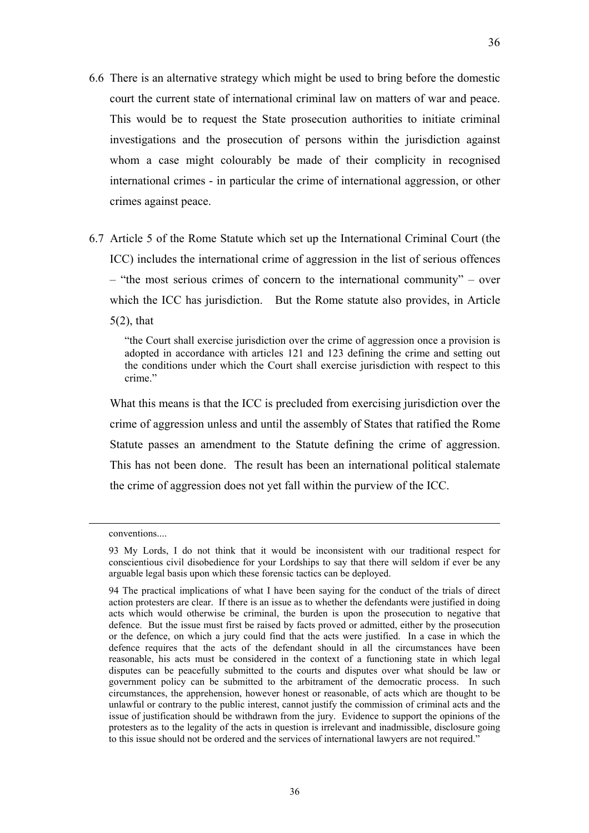- 6.6 There is an alternative strategy which might be used to bring before the domestic court the current state of international criminal law on matters of war and peace. This would be to request the State prosecution authorities to initiate criminal investigations and the prosecution of persons within the jurisdiction against whom a case might colourably be made of their complicity in recognised international crimes - in particular the crime of international aggression, or other crimes against peace.
- 6.7 Article 5 of the Rome Statute which set up the International Criminal Court (the ICC) includes the international crime of aggression in the list of serious offences – "the most serious crimes of concern to the international community" – over which the ICC has jurisdiction. But the Rome statute also provides, in Article 5(2), that

"the Court shall exercise jurisdiction over the crime of aggression once a provision is adopted in accordance with articles 121 and 123 defining the crime and setting out the conditions under which the Court shall exercise jurisdiction with respect to this crime."

What this means is that the ICC is precluded from exercising jurisdiction over the crime of aggression unless and until the assembly of States that ratified the Rome Statute passes an amendment to the Statute defining the crime of aggression. This has not been done. The result has been an international political stalemate the crime of aggression does not yet fall within the purview of the ICC.

conventions....

<sup>93</sup> My Lords, I do not think that it would be inconsistent with our traditional respect for conscientious civil disobedience for your Lordships to say that there will seldom if ever be any arguable legal basis upon which these forensic tactics can be deployed.

<sup>94</sup> The practical implications of what I have been saying for the conduct of the trials of direct action protesters are clear. If there is an issue as to whether the defendants were justified in doing acts which would otherwise be criminal, the burden is upon the prosecution to negative that defence. But the issue must first be raised by facts proved or admitted, either by the prosecution or the defence, on which a jury could find that the acts were justified. In a case in which the defence requires that the acts of the defendant should in all the circumstances have been reasonable, his acts must be considered in the context of a functioning state in which legal disputes can be peacefully submitted to the courts and disputes over what should be law or government policy can be submitted to the arbitrament of the democratic process. In such circumstances, the apprehension, however honest or reasonable, of acts which are thought to be unlawful or contrary to the public interest, cannot justify the commission of criminal acts and the issue of justification should be withdrawn from the jury. Evidence to support the opinions of the protesters as to the legality of the acts in question is irrelevant and inadmissible, disclosure going to this issue should not be ordered and the services of international lawyers are not required."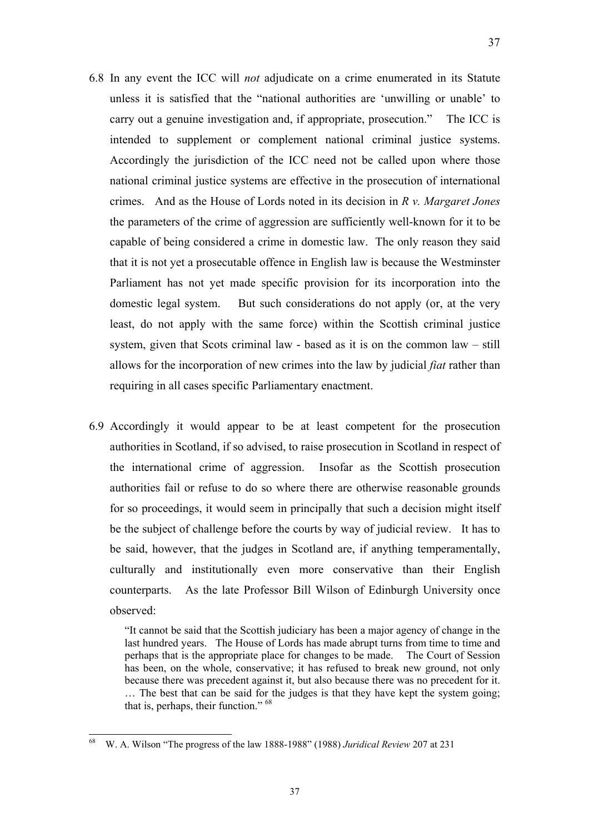- 6.8 In any event the ICC will *not* adjudicate on a crime enumerated in its Statute unless it is satisfied that the "national authorities are 'unwilling or unable' to carry out a genuine investigation and, if appropriate, prosecution." The ICC is intended to supplement or complement national criminal justice systems. Accordingly the jurisdiction of the ICC need not be called upon where those national criminal justice systems are effective in the prosecution of international crimes. And as the House of Lords noted in its decision in *R v. Margaret Jones* the parameters of the crime of aggression are sufficiently well-known for it to be capable of being considered a crime in domestic law. The only reason they said that it is not yet a prosecutable offence in English law is because the Westminster Parliament has not yet made specific provision for its incorporation into the domestic legal system. But such considerations do not apply (or, at the very least, do not apply with the same force) within the Scottish criminal justice system, given that Scots criminal law - based as it is on the common law – still allows for the incorporation of new crimes into the law by judicial *fiat* rather than requiring in all cases specific Parliamentary enactment.
- 6.9 Accordingly it would appear to be at least competent for the prosecution authorities in Scotland, if so advised, to raise prosecution in Scotland in respect of the international crime of aggression. Insofar as the Scottish prosecution authorities fail or refuse to do so where there are otherwise reasonable grounds for so proceedings, it would seem in principally that such a decision might itself be the subject of challenge before the courts by way of judicial review. It has to be said, however, that the judges in Scotland are, if anything temperamentally, culturally and institutionally even more conservative than their English counterparts. As the late Professor Bill Wilson of Edinburgh University once observed:

"It cannot be said that the Scottish judiciary has been a major agency of change in the last hundred years. The House of Lords has made abrupt turns from time to time and perhaps that is the appropriate place for changes to be made. The Court of Session has been, on the whole, conservative; it has refused to break new ground, not only because there was precedent against it, but also because there was no precedent for it. … The best that can be said for the judges is that they have kept the system going; that is, perhaps, their function." [68](#page-36-0)

<span id="page-36-0"></span> <sup>68</sup> W. A. Wilson "The progress of the law 1888-1988" (1988) *Juridical Review* 207 at 231